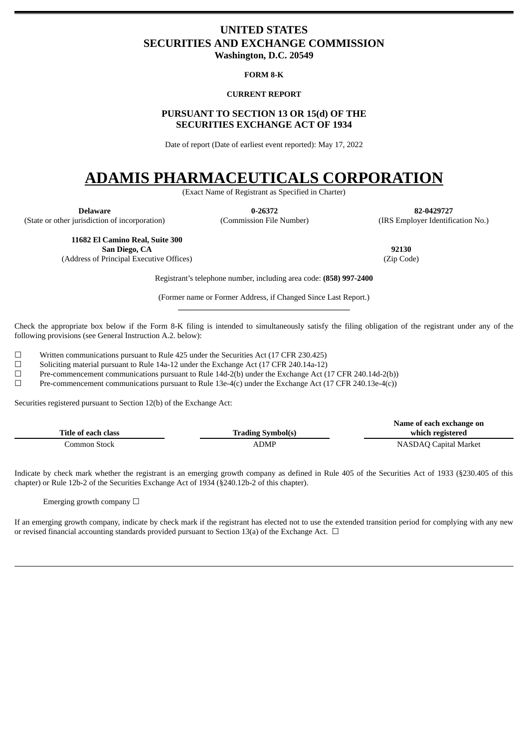# <span id="page-0-0"></span>**UNITED STATES SECURITIES AND EXCHANGE COMMISSION**

**Washington, D.C. 20549**

#### **FORM 8-K**

### **CURRENT REPORT**

# **PURSUANT TO SECTION 13 OR 15(d) OF THE SECURITIES EXCHANGE ACT OF 1934**

Date of report (Date of earliest event reported): May 17, 2022

# **ADAMIS PHARMACEUTICALS CORPORATION**

(Exact Name of Registrant as Specified in Charter)

(State or other jurisdiction of incorporation) (Commission File Number) (IRS Employer Identification No.)

**Delaware 0-26372 82-0429727**

**11682 El Camino Real, Suite 300 San Diego, CA 92130**

(Address of Principal Executive Offices) (Zip Code)

Registrant's telephone number, including area code: **(858) 997-2400**

(Former name or Former Address, if Changed Since Last Report.) **\_\_\_\_\_\_\_\_\_\_\_\_\_\_\_\_\_\_\_\_\_\_\_\_\_\_\_\_\_\_\_\_\_\_\_\_\_\_\_\_\_\_\_**

Check the appropriate box below if the Form 8-K filing is intended to simultaneously satisfy the filing obligation of the registrant under any of the following provisions (see General Instruction A.2. below):

 $\Box$  Written communications pursuant to Rule 425 under the Securities Act (17 CFR 230.425)<br>Soliciting material pursuant to Rule 14a-12 under the Exchange Act (17 CFR 240.14a-12)

Soliciting material pursuant to Rule 14a-12 under the Exchange Act (17 CFR 240.14a-12)

☐ Pre-commencement communications pursuant to Rule 14d-2(b) under the Exchange Act (17 CFR 240.14d-2(b))

☐ Pre-commencement communications pursuant to Rule 13e-4(c) under the Exchange Act (17 CFR 240.13e-4(c))

Securities registered pursuant to Section 12(b) of the Exchange Act:

|                     |                          | Name of each exchange on |
|---------------------|--------------------------|--------------------------|
| Title of each class | <b>Trading Symbol(s)</b> | which registered         |
| Common Stock        | ADMP                     | NASDAQ Capital Market    |

Indicate by check mark whether the registrant is an emerging growth company as defined in Rule 405 of the Securities Act of 1933 (§230.405 of this chapter) or Rule 12b-2 of the Securities Exchange Act of 1934 (§240.12b-2 of this chapter).

Emerging growth company  $\Box$ 

If an emerging growth company, indicate by check mark if the registrant has elected not to use the extended transition period for complying with any new or revised financial accounting standards provided pursuant to Section 13(a) of the Exchange Act.  $\Box$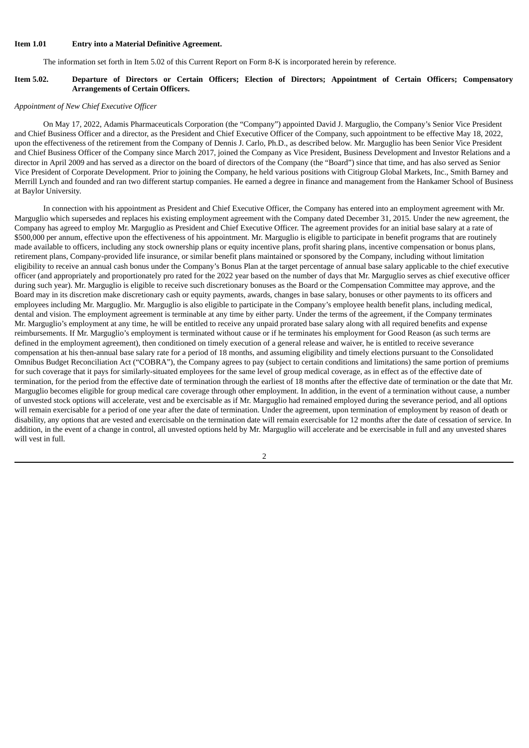#### **Item 1.01 Entry into a Material Definitive Agreement.**

The information set forth in Item 5.02 of this Current Report on Form 8-K is incorporated herein by reference.

#### Item 5.02. Departure of Directors or Certain Officers; Election of Directors; Appointment of Certain Officers; Compensatory **Arrangements of Certain Officers.**

#### *Appointment of New Chief Executive Officer*

On May 17, 2022, Adamis Pharmaceuticals Corporation (the "Company") appointed David J. Marguglio, the Company's Senior Vice President and Chief Business Officer and a director, as the President and Chief Executive Officer of the Company, such appointment to be effective May 18, 2022, upon the effectiveness of the retirement from the Company of Dennis J. Carlo, Ph.D., as described below. Mr. Marguglio has been Senior Vice President and Chief Business Officer of the Company since March 2017, joined the Company as Vice President, Business Development and Investor Relations and a director in April 2009 and has served as a director on the board of directors of the Company (the "Board") since that time, and has also served as Senior Vice President of Corporate Development. Prior to joining the Company, he held various positions with Citigroup Global Markets, Inc., Smith Barney and Merrill Lynch and founded and ran two different startup companies. He earned a degree in finance and management from the Hankamer School of Business at Baylor University.

In connection with his appointment as President and Chief Executive Officer, the Company has entered into an employment agreement with Mr. Marguglio which supersedes and replaces his existing employment agreement with the Company dated December 31, 2015. Under the new agreement, the Company has agreed to employ Mr. Marguglio as President and Chief Executive Officer. The agreement provides for an initial base salary at a rate of \$500,000 per annum, effective upon the effectiveness of his appointment. Mr. Marguglio is eligible to participate in benefit programs that are routinely made available to officers, including any stock ownership plans or equity incentive plans, profit sharing plans, incentive compensation or bonus plans, retirement plans, Company-provided life insurance, or similar benefit plans maintained or sponsored by the Company, including without limitation eligibility to receive an annual cash bonus under the Company's Bonus Plan at the target percentage of annual base salary applicable to the chief executive officer (and appropriately and proportionately pro rated for the 2022 year based on the number of days that Mr. Marguglio serves as chief executive officer during such year). Mr. Marguglio is eligible to receive such discretionary bonuses as the Board or the Compensation Committee may approve, and the Board may in its discretion make discretionary cash or equity payments, awards, changes in base salary, bonuses or other payments to its officers and employees including Mr. Marguglio. Mr. Marguglio is also eligible to participate in the Company's employee health benefit plans, including medical, dental and vision. The employment agreement is terminable at any time by either party. Under the terms of the agreement, if the Company terminates Mr. Marguglio's employment at any time, he will be entitled to receive any unpaid prorated base salary along with all required benefits and expense reimbursements. If Mr. Marguglio's employment is terminated without cause or if he terminates his employment for Good Reason (as such terms are defined in the employment agreement), then conditioned on timely execution of a general release and waiver, he is entitled to receive severance compensation at his then-annual base salary rate for a period of 18 months, and assuming eligibility and timely elections pursuant to the Consolidated Omnibus Budget Reconciliation Act ("COBRA"), the Company agrees to pay (subject to certain conditions and limitations) the same portion of premiums for such coverage that it pays for similarly-situated employees for the same level of group medical coverage, as in effect as of the effective date of termination, for the period from the effective date of termination through the earliest of 18 months after the effective date of termination or the date that Mr. Marguglio becomes eligible for group medical care coverage through other employment. In addition, in the event of a termination without cause, a number of unvested stock options will accelerate, vest and be exercisable as if Mr. Marguglio had remained employed during the severance period, and all options will remain exercisable for a period of one year after the date of termination. Under the agreement, upon termination of employment by reason of death or disability, any options that are vested and exercisable on the termination date will remain exercisable for 12 months after the date of cessation of service. In addition, in the event of a change in control, all unvested options held by Mr. Marguglio will accelerate and be exercisable in full and any unvested shares will vest in full.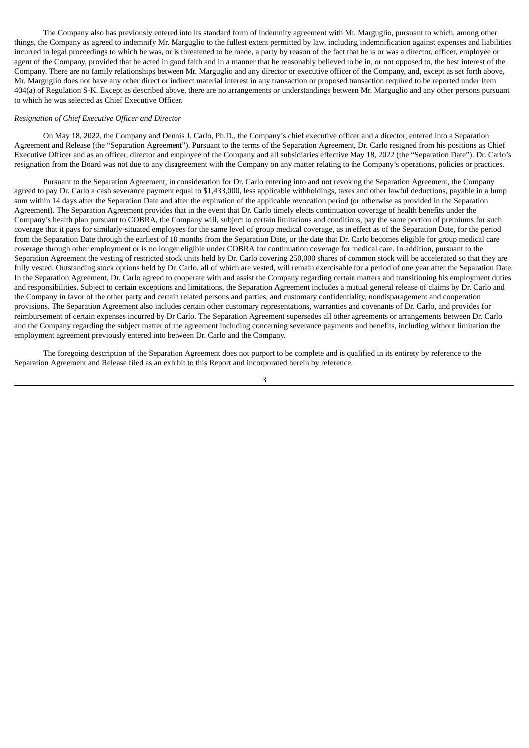The Company also has previously entered into its standard form of indemnity agreement with Mr. Marguglio, pursuant to which, among other things, the Company as agreed to indemnify Mr. Marguglio to the fullest extent permitted by law, including indemnification against expenses and liabilities incurred in legal proceedings to which he was, or is threatened to be made, a party by reason of the fact that he is or was a director, officer, employee or agent of the Company, provided that he acted in good faith and in a manner that he reasonably believed to be in, or not opposed to, the best interest of the Company. There are no family relationships between Mr. Marguglio and any director or executive officer of the Company, and, except as set forth above, Mr. Marguglio does not have any other direct or indirect material interest in any transaction or proposed transaction required to be reported under Item 404(a) of Regulation S-K. Except as described above, there are no arrangements or understandings between Mr. Marguglio and any other persons pursuant to which he was selected as Chief Executive Officer.

#### *Resignation of Chief Executive Officer and Director*

On May 18, 2022, the Company and Dennis J. Carlo, Ph.D., the Company's chief executive officer and a director, entered into a Separation Agreement and Release (the "Separation Agreement"). Pursuant to the terms of the Separation Agreement, Dr. Carlo resigned from his positions as Chief Executive Officer and as an officer, director and employee of the Company and all subsidiaries effective May 18, 2022 (the "Separation Date"). Dr. Carlo's resignation from the Board was not due to any disagreement with the Company on any matter relating to the Company's operations, policies or practices.

Pursuant to the Separation Agreement, in consideration for Dr. Carlo entering into and not revoking the Separation Agreement, the Company agreed to pay Dr. Carlo a cash severance payment equal to \$1,433,000, less applicable withholdings, taxes and other lawful deductions, payable in a lump sum within 14 days after the Separation Date and after the expiration of the applicable revocation period (or otherwise as provided in the Separation Agreement). The Separation Agreement provides that in the event that Dr. Carlo timely elects continuation coverage of health benefits under the Company's health plan pursuant to COBRA, the Company will, subject to certain limitations and conditions, pay the same portion of premiums for such coverage that it pays for similarly-situated employees for the same level of group medical coverage, as in effect as of the Separation Date, for the period from the Separation Date through the earliest of 18 months from the Separation Date, or the date that Dr. Carlo becomes eligible for group medical care coverage through other employment or is no longer eligible under COBRA for continuation coverage for medical care. In addition, pursuant to the Separation Agreement the vesting of restricted stock units held by Dr. Carlo covering 250,000 shares of common stock will be accelerated so that they are fully vested. Outstanding stock options held by Dr. Carlo, all of which are vested, will remain exercisable for a period of one year after the Separation Date. In the Separation Agreement, Dr. Carlo agreed to cooperate with and assist the Company regarding certain matters and transitioning his employment duties and responsibilities. Subject to certain exceptions and limitations, the Separation Agreement includes a mutual general release of claims by Dr. Carlo and the Company in favor of the other party and certain related persons and parties, and customary confidentiality, nondisparagement and cooperation provisions. The Separation Agreement also includes certain other customary representations, warranties and covenants of Dr. Carlo, and provides for reimbursement of certain expenses incurred by Dr Carlo. The Separation Agreement supersedes all other agreements or arrangements between Dr. Carlo and the Company regarding the subject matter of the agreement including concerning severance payments and benefits, including without limitation the employment agreement previously entered into between Dr. Carlo and the Company.

The foregoing description of the Separation Agreement does not purport to be complete and is qualified in its entirety by reference to the Separation Agreement and Release filed as an exhibit to this Report and incorporated herein by reference.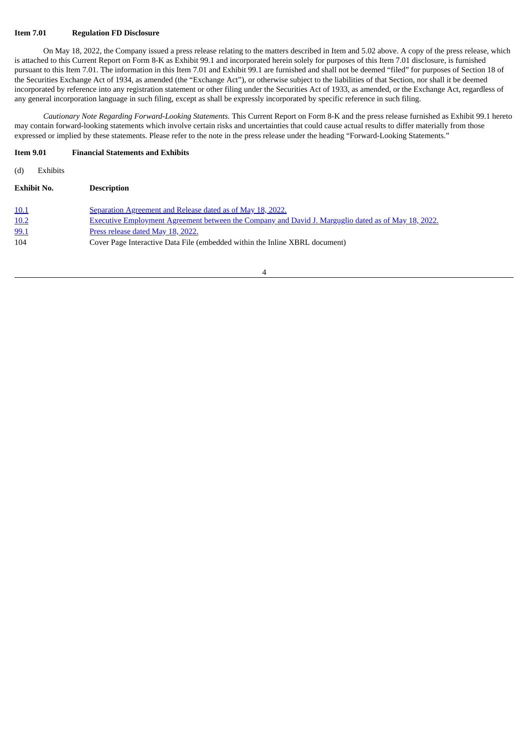#### **Item 7.01 Regulation FD Disclosure**

On May 18, 2022, the Company issued a press release relating to the matters described in Item and 5.02 above. A copy of the press release, which is attached to this Current Report on Form 8-K as Exhibit 99.1 and incorporated herein solely for purposes of this Item 7.01 disclosure, is furnished pursuant to this Item 7.01. The information in this Item 7.01 and Exhibit 99.1 are furnished and shall not be deemed "filed" for purposes of Section 18 of the Securities Exchange Act of 1934, as amended (the "Exchange Act"), or otherwise subject to the liabilities of that Section, nor shall it be deemed incorporated by reference into any registration statement or other filing under the Securities Act of 1933, as amended, or the Exchange Act, regardless of any general incorporation language in such filing, except as shall be expressly incorporated by specific reference in such filing.

*Cautionary Note Regarding Forward-Looking Statements.* This Current Report on Form 8-K and the press release furnished as Exhibit 99.1 hereto may contain forward-looking statements which involve certain risks and uncertainties that could cause actual results to differ materially from those expressed or implied by these statements. Please refer to the note in the press release under the heading "Forward-Looking Statements."

#### **Item 9.01 Financial Statements and Exhibits**

| (d)<br><b>Exhibits</b> |                                                                                                            |
|------------------------|------------------------------------------------------------------------------------------------------------|
| <b>Exhibit No.</b>     | <b>Description</b>                                                                                         |
| <u>10.1</u>            | Separation Agreement and Release dated as of May 18, 2022.                                                 |
| 10.2                   | <b>Executive Employment Agreement between the Company and David J. Marguglio dated as of May 18, 2022.</b> |
| 99.1                   | Press release dated May 18, 2022.                                                                          |
| 104                    | Cover Page Interactive Data File (embedded within the Inline XBRL document)                                |
|                        |                                                                                                            |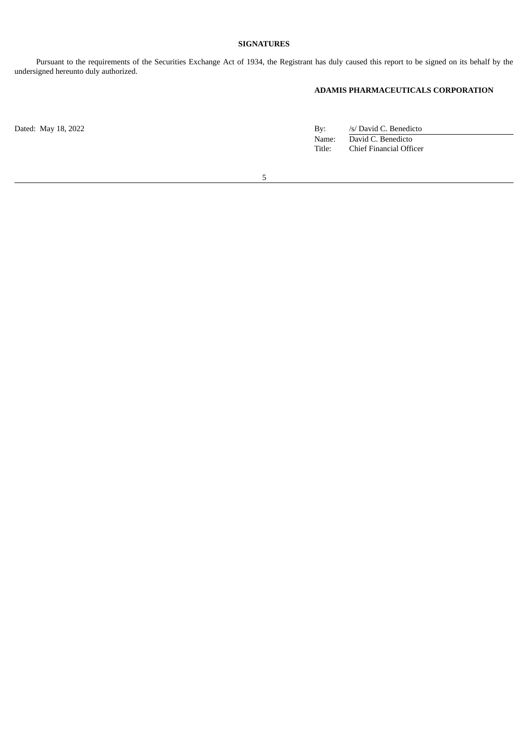# **SIGNATURES**

Pursuant to the requirements of the Securities Exchange Act of 1934, the Registrant has duly caused this report to be signed on its behalf by the undersigned hereunto duly authorized.

# **ADAMIS PHARMACEUTICALS CORPORATION**

Dated: May 18, 2022 **By:** And Table 18, 2022 **By:** Assume that the set of the set of the set of the set of the set of the set of the set of the set of the set of the set of the set of the set of the set of the set of the s Name: David C. Benedicto Title: Chief Financial Officer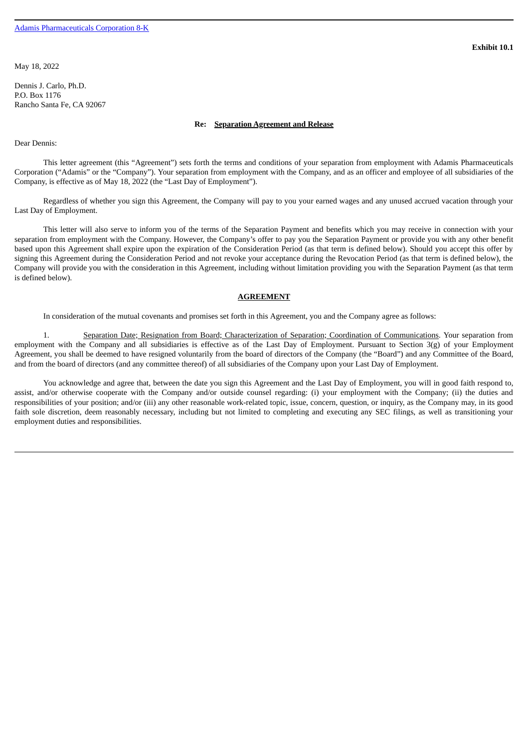<span id="page-5-0"></span>May 18, 2022

Dennis J. Carlo, Ph.D. P.O. Box 1176 Rancho Santa Fe, CA 92067

#### **Re: Separation Agreement and Release**

Dear Dennis:

This letter agreement (this "Agreement") sets forth the terms and conditions of your separation from employment with Adamis Pharmaceuticals Corporation ("Adamis" or the "Company"). Your separation from employment with the Company, and as an officer and employee of all subsidiaries of the Company, is effective as of May 18, 2022 (the "Last Day of Employment").

Regardless of whether you sign this Agreement, the Company will pay to you your earned wages and any unused accrued vacation through your Last Day of Employment.

This letter will also serve to inform you of the terms of the Separation Payment and benefits which you may receive in connection with your separation from employment with the Company. However, the Company's offer to pay you the Separation Payment or provide you with any other benefit based upon this Agreement shall expire upon the expiration of the Consideration Period (as that term is defined below). Should you accept this offer by signing this Agreement during the Consideration Period and not revoke your acceptance during the Revocation Period (as that term is defined below), the Company will provide you with the consideration in this Agreement, including without limitation providing you with the Separation Payment (as that term is defined below).

#### **AGREEMENT**

In consideration of the mutual covenants and promises set forth in this Agreement, you and the Company agree as follows:

1. Separation Date; Resignation from Board; Characterization of Separation; Coordination of Communications. Your separation from employment with the Company and all subsidiaries is effective as of the Last Day of Employment. Pursuant to Section 3(g) of your Employment Agreement, you shall be deemed to have resigned voluntarily from the board of directors of the Company (the "Board") and any Committee of the Board, and from the board of directors (and any committee thereof) of all subsidiaries of the Company upon your Last Day of Employment.

You acknowledge and agree that, between the date you sign this Agreement and the Last Day of Employment, you will in good faith respond to, assist, and/or otherwise cooperate with the Company and/or outside counsel regarding: (i) your employment with the Company; (ii) the duties and responsibilities of your position; and/or (iii) any other reasonable work-related topic, issue, concern, question, or inquiry, as the Company may, in its good faith sole discretion, deem reasonably necessary, including but not limited to completing and executing any SEC filings, as well as transitioning your employment duties and responsibilities.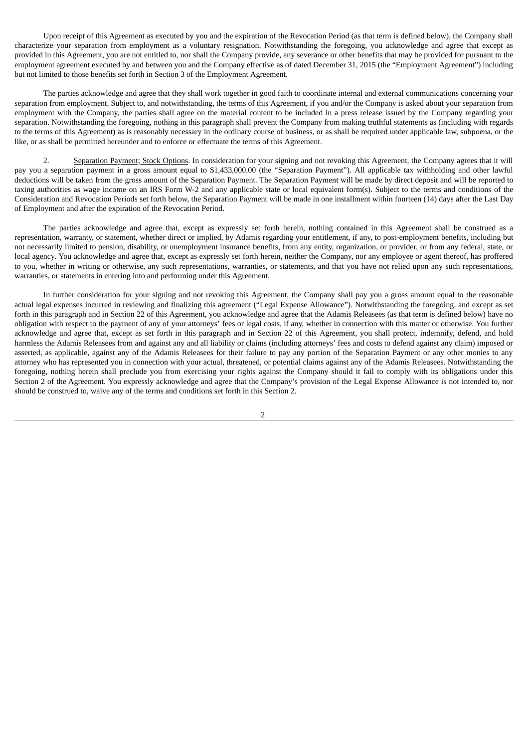Upon receipt of this Agreement as executed by you and the expiration of the Revocation Period (as that term is defined below), the Company shall characterize your separation from employment as a voluntary resignation. Notwithstanding the foregoing, you acknowledge and agree that except as provided in this Agreement, you are not entitled to, nor shall the Company provide, any severance or other benefits that may be provided for pursuant to the employment agreement executed by and between you and the Company effective as of dated December 31, 2015 (the "Employment Agreement") including but not limited to those benefits set forth in Section 3 of the Employment Agreement.

The parties acknowledge and agree that they shall work together in good faith to coordinate internal and external communications concerning your separation from employment. Subject to, and notwithstanding, the terms of this Agreement, if you and/or the Company is asked about your separation from employment with the Company, the parties shall agree on the material content to be included in a press release issued by the Company regarding your separation. Notwithstanding the foregoing, nothing in this paragraph shall prevent the Company from making truthful statements as (including with regards to the terms of this Agreement) as is reasonably necessary in the ordinary course of business, or as shall be required under applicable law, subpoena, or the like, or as shall be permitted hereunder and to enforce or effectuate the terms of this Agreement.

2. Separation Payment; Stock Options. In consideration for your signing and not revoking this Agreement, the Company agrees that it will pay you a separation payment in a gross amount equal to \$1,433,000.00 (the "Separation Payment"). All applicable tax withholding and other lawful deductions will be taken from the gross amount of the Separation Payment. The Separation Payment will be made by direct deposit and will be reported to taxing authorities as wage income on an IRS Form W-2 and any applicable state or local equivalent form(s). Subject to the terms and conditions of the Consideration and Revocation Periods set forth below, the Separation Payment will be made in one installment within fourteen (14) days after the Last Day of Employment and after the expiration of the Revocation Period.

The parties acknowledge and agree that, except as expressly set forth herein, nothing contained in this Agreement shall be construed as a representation, warranty, or statement, whether direct or implied, by Adamis regarding your entitlement, if any, to post-employment benefits, including but not necessarily limited to pension, disability, or unemployment insurance benefits, from any entity, organization, or provider, or from any federal, state, or local agency. You acknowledge and agree that, except as expressly set forth herein, neither the Company, nor any employee or agent thereof, has proffered to you, whether in writing or otherwise, any such representations, warranties, or statements, and that you have not relied upon any such representations, warranties, or statements in entering into and performing under this Agreement.

In further consideration for your signing and not revoking this Agreement, the Company shall pay you a gross amount equal to the reasonable actual legal expenses incurred in reviewing and finalizing this agreement ("Legal Expense Allowance"). Notwithstanding the foregoing, and except as set forth in this paragraph and in Section 22 of this Agreement, you acknowledge and agree that the Adamis Releasees (as that term is defined below) have no obligation with respect to the payment of any of your attorneys' fees or legal costs, if any, whether in connection with this matter or otherwise. You further acknowledge and agree that, except as set forth in this paragraph and in Section 22 of this Agreement, you shall protect, indemnify, defend, and hold harmless the Adamis Releasees from and against any and all liability or claims (including attorneys' fees and costs to defend against any claim) imposed or asserted, as applicable, against any of the Adamis Releasees for their failure to pay any portion of the Separation Payment or any other monies to any attorney who has represented you in connection with your actual, threatened, or potential claims against any of the Adamis Releasees. Notwithstanding the foregoing, nothing herein shall preclude you from exercising your rights against the Company should it fail to comply with its obligations under this Section 2 of the Agreement. You expressly acknowledge and agree that the Company's provision of the Legal Expense Allowance is not intended to, nor should be construed to, waive any of the terms and conditions set forth in this Section 2.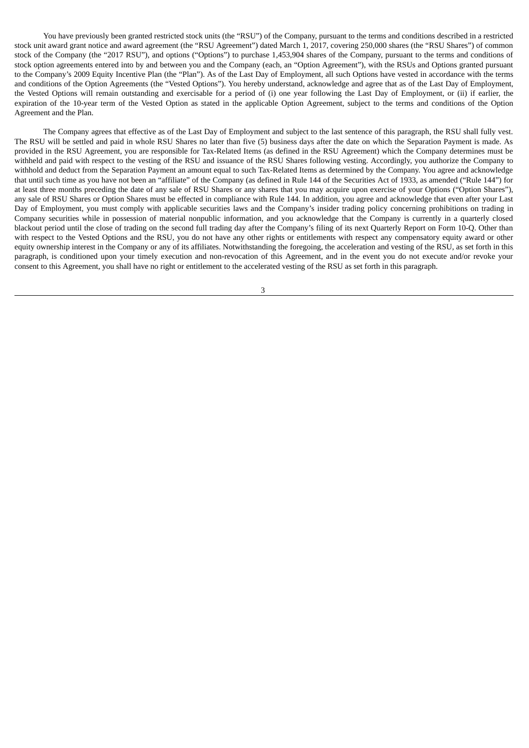You have previously been granted restricted stock units (the "RSU") of the Company, pursuant to the terms and conditions described in a restricted stock unit award grant notice and award agreement (the "RSU Agreement") dated March 1, 2017, covering 250,000 shares (the "RSU Shares") of common stock of the Company (the "2017 RSU"), and options ("Options") to purchase 1,453,904 shares of the Company, pursuant to the terms and conditions of stock option agreements entered into by and between you and the Company (each, an "Option Agreement"), with the RSUs and Options granted pursuant to the Company's 2009 Equity Incentive Plan (the "Plan"). As of the Last Day of Employment, all such Options have vested in accordance with the terms and conditions of the Option Agreements (the "Vested Options"). You hereby understand, acknowledge and agree that as of the Last Day of Employment, the Vested Options will remain outstanding and exercisable for a period of (i) one year following the Last Day of Employment, or (ii) if earlier, the expiration of the 10-year term of the Vested Option as stated in the applicable Option Agreement, subject to the terms and conditions of the Option Agreement and the Plan.

The Company agrees that effective as of the Last Day of Employment and subject to the last sentence of this paragraph, the RSU shall fully vest. The RSU will be settled and paid in whole RSU Shares no later than five (5) business days after the date on which the Separation Payment is made. As provided in the RSU Agreement, you are responsible for Tax-Related Items (as defined in the RSU Agreement) which the Company determines must be withheld and paid with respect to the vesting of the RSU and issuance of the RSU Shares following vesting. Accordingly, you authorize the Company to withhold and deduct from the Separation Payment an amount equal to such Tax-Related Items as determined by the Company. You agree and acknowledge that until such time as you have not been an "affiliate" of the Company (as defined in Rule 144 of the Securities Act of 1933, as amended ("Rule 144") for at least three months preceding the date of any sale of RSU Shares or any shares that you may acquire upon exercise of your Options ("Option Shares"), any sale of RSU Shares or Option Shares must be effected in compliance with Rule 144. In addition, you agree and acknowledge that even after your Last Day of Employment, you must comply with applicable securities laws and the Company's insider trading policy concerning prohibitions on trading in Company securities while in possession of material nonpublic information, and you acknowledge that the Company is currently in a quarterly closed blackout period until the close of trading on the second full trading day after the Company's filing of its next Quarterly Report on Form 10-Q. Other than with respect to the Vested Options and the RSU, you do not have any other rights or entitlements with respect any compensatory equity award or other equity ownership interest in the Company or any of its affiliates. Notwithstanding the foregoing, the acceleration and vesting of the RSU, as set forth in this paragraph, is conditioned upon your timely execution and non-revocation of this Agreement, and in the event you do not execute and/or revoke your consent to this Agreement, you shall have no right or entitlement to the accelerated vesting of the RSU as set forth in this paragraph.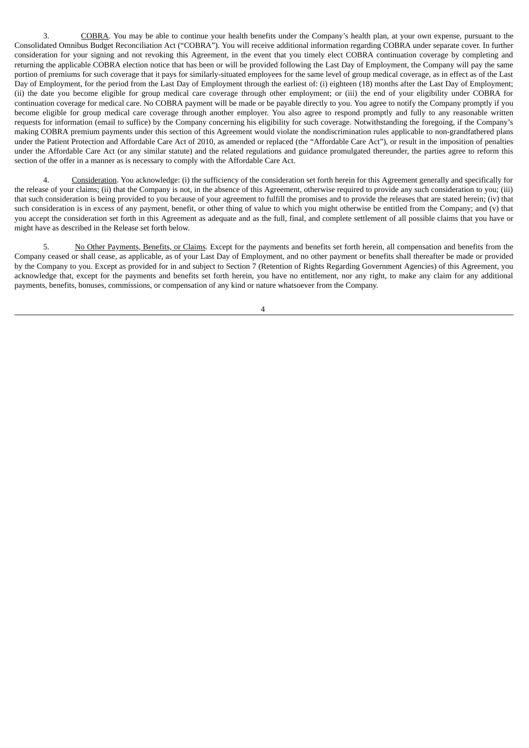3. COBRA. You may be able to continue your health benefits under the Company's health plan, at your own expense, pursuant to the Consolidated Omnibus Budget Reconciliation Act ("COBRA"). You will receive additional information regarding COBRA under separate cover. In further consideration for your signing and not revoking this Agreement, in the event that you timely elect COBRA continuation coverage by completing and returning the applicable COBRA election notice that has been or will be provided following the Last Day of Employment, the Company will pay the same portion of premiums for such coverage that it pays for similarly-situated employees for the same level of group medical coverage, as in effect as of the Last Day of Employment, for the period from the Last Day of Employment through the earliest of: (i) eighteen (18) months after the Last Day of Employment; (ii) the date you become eligible for group medical care coverage through other employment; or (iii) the end of your eligibility under COBRA for continuation coverage for medical care. No COBRA payment will be made or be payable directly to you. You agree to notify the Company promptly if you become eligible for group medical care coverage through another employer. You also agree to respond promptly and fully to any reasonable written requests for information (email to suffice) by the Company concerning his eligibility for such coverage. Notwithstanding the foregoing, if the Company's making COBRA premium payments under this section of this Agreement would violate the nondiscrimination rules applicable to non-grandfathered plans under the Patient Protection and Affordable Care Act of 2010, as amended or replaced (the "Affordable Care Act"), or result in the imposition of penalties under the Affordable Care Act (or any similar statute) and the related regulations and guidance promulgated thereunder, the parties agree to reform this section of the offer in a manner as is necessary to comply with the Affordable Care Act.

4. Consideration. You acknowledge: (i) the sufficiency of the consideration set forth herein for this Agreement generally and specifically for the release of your claims; (ii) that the Company is not, in the absence of this Agreement, otherwise required to provide any such consideration to you; (iii) that such consideration is being provided to you because of your agreement to fulfill the promises and to provide the releases that are stated herein; (iv) that such consideration is in excess of any payment, benefit, or other thing of value to which you might otherwise be entitled from the Company; and (v) that you accept the consideration set forth in this Agreement as adequate and as the full, final, and complete settlement of all possible claims that you have or might have as described in the Release set forth below.

5. No Other Payments, Benefits, or Claims. Except for the payments and benefits set forth herein, all compensation and benefits from the Company ceased or shall cease, as applicable, as of your Last Day of Employment, and no other payment or benefits shall thereafter be made or provided by the Company to you. Except as provided for in and subject to Section 7 (Retention of Rights Regarding Government Agencies) of this Agreement, you acknowledge that, except for the payments and benefits set forth herein, you have no entitlement, nor any right, to make any claim for any additional payments, benefits, bonuses, commissions, or compensation of any kind or nature whatsoever from the Company.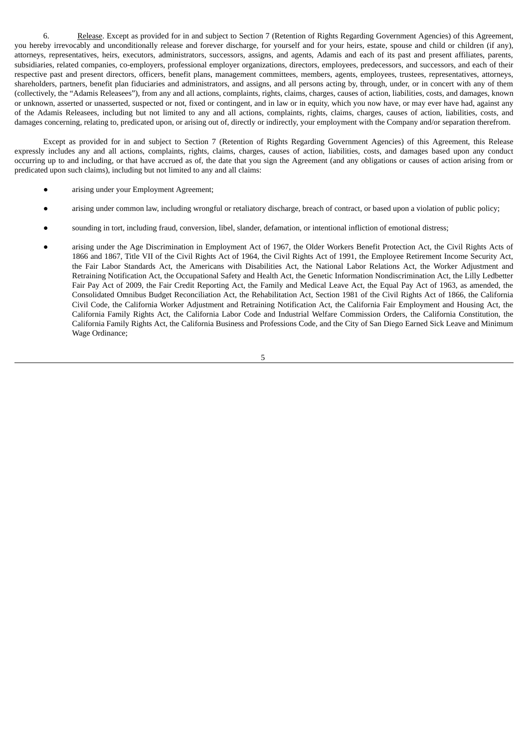6. Release. Except as provided for in and subject to Section 7 (Retention of Rights Regarding Government Agencies) of this Agreement, you hereby irrevocably and unconditionally release and forever discharge, for yourself and for your heirs, estate, spouse and child or children (if any), attorneys, representatives, heirs, executors, administrators, successors, assigns, and agents, Adamis and each of its past and present affiliates, parents, subsidiaries, related companies, co-employers, professional employer organizations, directors, employees, predecessors, and successors, and each of their respective past and present directors, officers, benefit plans, management committees, members, agents, employees, trustees, representatives, attorneys, shareholders, partners, benefit plan fiduciaries and administrators, and assigns, and all persons acting by, through, under, or in concert with any of them (collectively, the "Adamis Releasees"), from any and all actions, complaints, rights, claims, charges, causes of action, liabilities, costs, and damages, known or unknown, asserted or unasserted, suspected or not, fixed or contingent, and in law or in equity, which you now have, or may ever have had, against any of the Adamis Releasees, including but not limited to any and all actions, complaints, rights, claims, charges, causes of action, liabilities, costs, and damages concerning, relating to, predicated upon, or arising out of, directly or indirectly, your employment with the Company and/or separation therefrom.

Except as provided for in and subject to Section 7 (Retention of Rights Regarding Government Agencies) of this Agreement, this Release expressly includes any and all actions, complaints, rights, claims, charges, causes of action, liabilities, costs, and damages based upon any conduct occurring up to and including, or that have accrued as of, the date that you sign the Agreement (and any obligations or causes of action arising from or predicated upon such claims), including but not limited to any and all claims:

- arising under your Employment Agreement;
- arising under common law, including wrongful or retaliatory discharge, breach of contract, or based upon a violation of public policy;
- sounding in tort, including fraud, conversion, libel, slander, defamation, or intentional infliction of emotional distress;
- arising under the Age Discrimination in Employment Act of 1967, the Older Workers Benefit Protection Act, the Civil Rights Acts of 1866 and 1867, Title VII of the Civil Rights Act of 1964, the Civil Rights Act of 1991, the Employee Retirement Income Security Act, the Fair Labor Standards Act, the Americans with Disabilities Act, the National Labor Relations Act, the Worker Adjustment and Retraining Notification Act, the Occupational Safety and Health Act, the Genetic Information Nondiscrimination Act, the Lilly Ledbetter Fair Pay Act of 2009, the Fair Credit Reporting Act, the Family and Medical Leave Act, the Equal Pay Act of 1963, as amended, the Consolidated Omnibus Budget Reconciliation Act, the Rehabilitation Act, Section 1981 of the Civil Rights Act of 1866, the California Civil Code, the California Worker Adjustment and Retraining Notification Act, the California Fair Employment and Housing Act, the California Family Rights Act, the California Labor Code and Industrial Welfare Commission Orders, the California Constitution, the California Family Rights Act, the California Business and Professions Code, and the City of San Diego Earned Sick Leave and Minimum Wage Ordinance;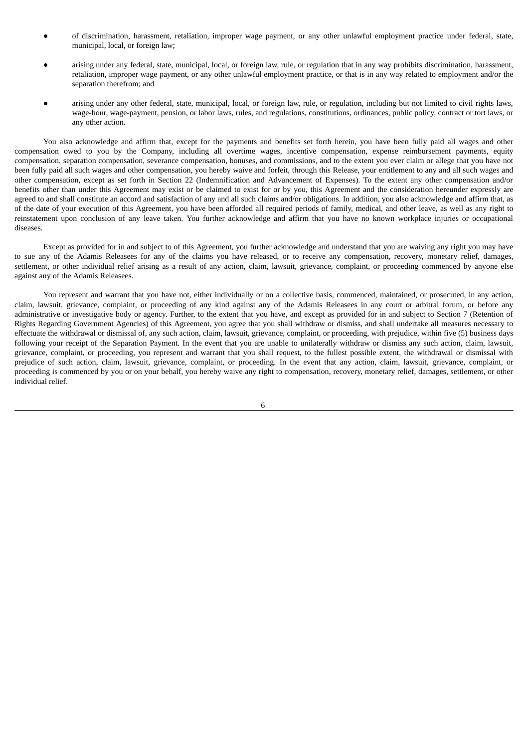- of discrimination, harassment, retaliation, improper wage payment, or any other unlawful employment practice under federal, state, municipal, local, or foreign law;
- arising under any federal, state, municipal, local, or foreign law, rule, or regulation that in any way prohibits discrimination, harassment, retaliation, improper wage payment, or any other unlawful employment practice, or that is in any way related to employment and/or the separation therefrom; and
- arising under any other federal, state, municipal, local, or foreign law, rule, or regulation, including but not limited to civil rights laws, wage-hour, wage-payment, pension, or labor laws, rules, and regulations, constitutions, ordinances, public policy, contract or tort laws, or any other action.

You also acknowledge and affirm that, except for the payments and benefits set forth herein, you have been fully paid all wages and other compensation owed to you by the Company, including all overtime wages, incentive compensation, expense reimbursement payments, equity compensation, separation compensation, severance compensation, bonuses, and commissions, and to the extent you ever claim or allege that you have not been fully paid all such wages and other compensation, you hereby waive and forfeit, through this Release, your entitlement to any and all such wages and other compensation, except as set forth in Section 22 (Indemnification and Advancement of Expenses). To the extent any other compensation and/or benefits other than under this Agreement may exist or be claimed to exist for or by you, this Agreement and the consideration hereunder expressly are agreed to and shall constitute an accord and satisfaction of any and all such claims and/or obligations. In addition, you also acknowledge and affirm that, as of the date of your execution of this Agreement, you have been afforded all required periods of family, medical, and other leave, as well as any right to reinstatement upon conclusion of any leave taken. You further acknowledge and affirm that you have no known workplace injuries or occupational diseases.

Except as provided for in and subject to of this Agreement, you further acknowledge and understand that you are waiving any right you may have to sue any of the Adamis Releasees for any of the claims you have released, or to receive any compensation, recovery, monetary relief, damages, settlement, or other individual relief arising as a result of any action, claim, lawsuit, grievance, complaint, or proceeding commenced by anyone else against any of the Adamis Releasees.

You represent and warrant that you have not, either individually or on a collective basis, commenced, maintained, or prosecuted, in any action, claim, lawsuit, grievance, complaint, or proceeding of any kind against any of the Adamis Releasees in any court or arbitral forum, or before any administrative or investigative body or agency. Further, to the extent that you have, and except as provided for in and subject to Section 7 (Retention of Rights Regarding Government Agencies) of this Agreement, you agree that you shall withdraw or dismiss, and shall undertake all measures necessary to effectuate the withdrawal or dismissal of, any such action, claim, lawsuit, grievance, complaint, or proceeding, with prejudice, within five (5) business days following your receipt of the Separation Payment. In the event that you are unable to unilaterally withdraw or dismiss any such action, claim, lawsuit, grievance, complaint, or proceeding, you represent and warrant that you shall request, to the fullest possible extent, the withdrawal or dismissal with prejudice of such action, claim, lawsuit, grievance, complaint, or proceeding. In the event that any action, claim, lawsuit, grievance, complaint, or proceeding is commenced by you or on your behalf, you hereby waive any right to compensation, recovery, monetary relief, damages, settlement, or other individual relief.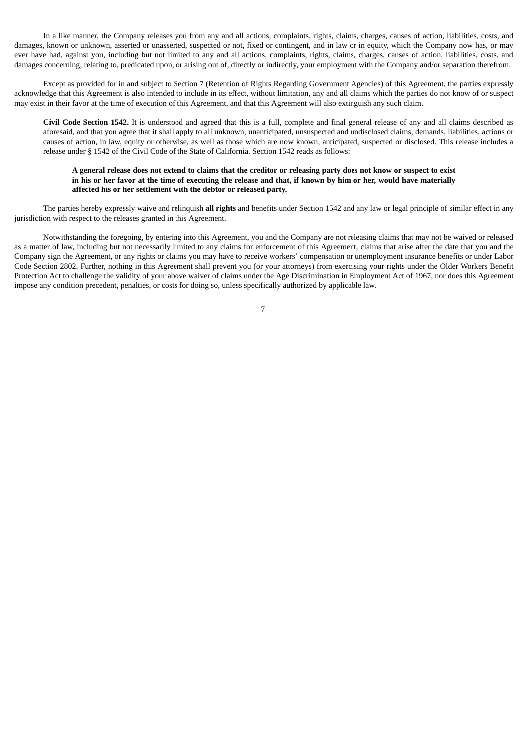In a like manner, the Company releases you from any and all actions, complaints, rights, claims, charges, causes of action, liabilities, costs, and damages, known or unknown, asserted or unasserted, suspected or not, fixed or contingent, and in law or in equity, which the Company now has, or may ever have had, against you, including but not limited to any and all actions, complaints, rights, claims, charges, causes of action, liabilities, costs, and damages concerning, relating to, predicated upon, or arising out of, directly or indirectly, your employment with the Company and/or separation therefrom.

Except as provided for in and subject to Section 7 (Retention of Rights Regarding Government Agencies) of this Agreement, the parties expressly acknowledge that this Agreement is also intended to include in its effect, without limitation, any and all claims which the parties do not know of or suspect may exist in their favor at the time of execution of this Agreement, and that this Agreement will also extinguish any such claim.

**Civil Code Section 1542.** It is understood and agreed that this is a full, complete and final general release of any and all claims described as aforesaid, and that you agree that it shall apply to all unknown, unanticipated, unsuspected and undisclosed claims, demands, liabilities, actions or causes of action, in law, equity or otherwise, as well as those which are now known, anticipated, suspected or disclosed. This release includes a release under § 1542 of the Civil Code of the State of California. Section 1542 reads as follows:

#### A general release does not extend to claims that the creditor or releasing party does not know or suspect to exist in his or her favor at the time of executing the release and that, if known by him or her, would have materially **affected his or her settlement with the debtor or released party.**

The parties hereby expressly waive and relinquish **all rights** and benefits under Section 1542 and any law or legal principle of similar effect in any jurisdiction with respect to the releases granted in this Agreement.

Notwithstanding the foregoing, by entering into this Agreement, you and the Company are not releasing claims that may not be waived or released as a matter of law, including but not necessarily limited to any claims for enforcement of this Agreement, claims that arise after the date that you and the Company sign the Agreement, or any rights or claims you may have to receive workers' compensation or unemployment insurance benefits or under Labor Code Section 2802. Further, nothing in this Agreement shall prevent you (or your attorneys) from exercising your rights under the Older Workers Benefit Protection Act to challenge the validity of your above waiver of claims under the Age Discrimination in Employment Act of 1967, nor does this Agreement impose any condition precedent, penalties, or costs for doing so, unless specifically authorized by applicable law.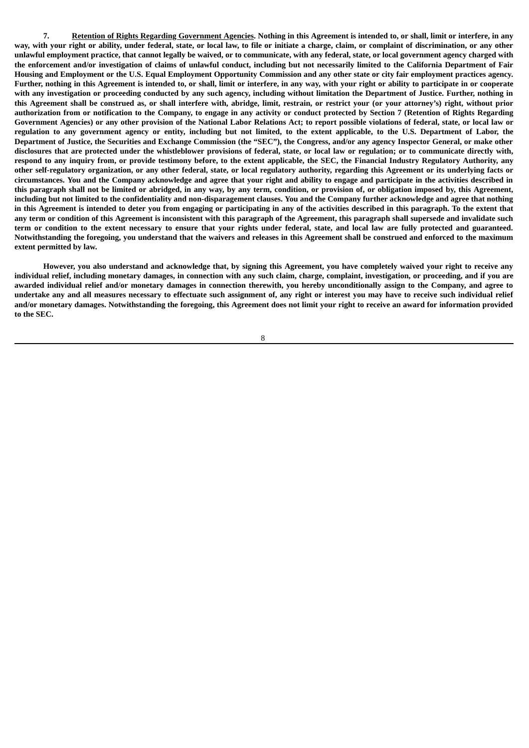7. Retention of Rights Regarding Government Agencies. Nothing in this Agreement is intended to, or shall, limit or interfere, in any way, with your right or ability, under federal, state, or local law, to file or initiate a charge, claim, or complaint of discrimination, or any other unlawful employment practice, that cannot legally be waived, or to communicate, with any federal, state, or local government agency charged with the enforcement and/or investigation of claims of unlawful conduct, including but not necessarily limited to the California Department of Fair Housing and Employment or the U.S. Equal Employment Opportunity Commission and any other state or city fair employment practices agency. Further, nothing in this Agreement is intended to, or shall, limit or interfere, in any way, with your right or ability to participate in or cooperate with any investigation or proceeding conducted by any such agency, including without limitation the Department of Justice. Further, nothing in this Agreement shall be construed as, or shall interfere with, abridge, limit, restrain, or restrict your (or your attorney's) right, without prior authorization from or notification to the Company, to engage in any activity or conduct protected by Section 7 (Retention of Rights Regarding Government Agencies) or any other provision of the National Labor Relations Act; to report possible violations of federal, state, or local law or regulation to any government agency or entity, including but not limited, to the extent applicable, to the U.S. Department of Labor, the Department of Justice, the Securities and Exchange Commission (the "SEC"), the Congress, and/or any agency Inspector General, or make other disclosures that are protected under the whistleblower provisions of federal, state, or local law or regulation; or to communicate directly with, respond to any inquiry from, or provide testimony before, to the extent applicable, the SEC, the Financial Industry Regulatory Authority, any other self-regulatory organization, or any other federal, state, or local regulatory authority, regarding this Agreement or its underlying facts or circumstances. You and the Company acknowledge and agree that your right and ability to engage and participate in the activities described in this paragraph shall not be limited or abridged, in any way, by any term, condition, or provision of, or obligation imposed by, this Agreement, including but not limited to the confidentiality and non-disparagement clauses. You and the Company further acknowledge and agree that nothing in this Agreement is intended to deter you from engaging or participating in any of the activities described in this paragraph. To the extent that any term or condition of this Agreement is inconsistent with this paragraph of the Agreement, this paragraph shall supersede and invalidate such term or condition to the extent necessary to ensure that your rights under federal, state, and local law are fully protected and guaranteed. Notwithstanding the foregoing, you understand that the waivers and releases in this Agreement shall be construed and enforced to the maximum **extent permitted by law.**

However, you also understand and acknowledge that, by signing this Agreement, you have completely waived your right to receive any individual relief, including monetary damages, in connection with any such claim, charge, complaint, investigation, or proceeding, and if you are awarded individual relief and/or monetary damages in connection therewith, you hereby unconditionally assign to the Company, and agree to undertake any and all measures necessary to effectuate such assignment of, any right or interest you may have to receive such individual relief and/or monetary damages. Notwithstanding the foregoing, this Agreement does not limit your right to receive an award for information provided **to the SEC.**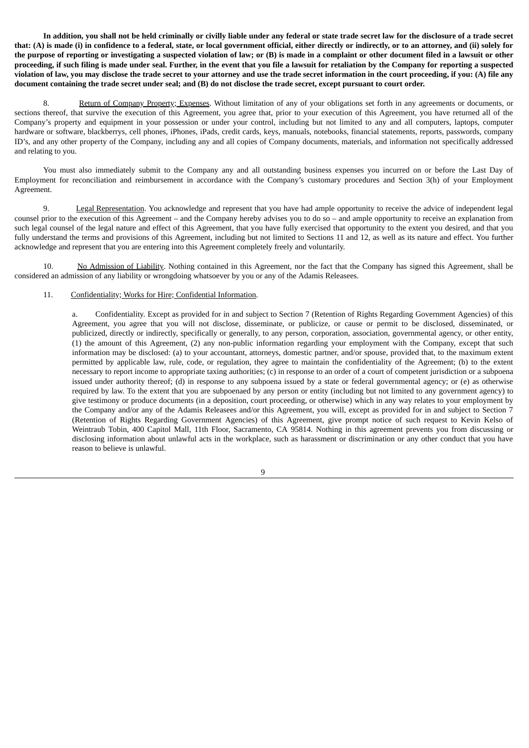In addition, you shall not be held criminally or civilly liable under any federal or state trade secret law for the disclosure of a trade secret that: (A) is made (i) in confidence to a federal, state, or local government official, either directly or indirectly, or to an attorney, and (ii) solely for the purpose of reporting or investigating a suspected violation of law; or (B) is made in a complaint or other document filed in a lawsuit or other proceeding, if such filing is made under seal. Further, in the event that you file a lawsuit for retaliation by the Company for reporting a suspected violation of law, you may disclose the trade secret to your attorney and use the trade secret information in the court proceeding, if you: (A) file any document containing the trade secret under seal; and (B) do not disclose the trade secret, except pursuant to court order.

8. Return of Company Property; Expenses. Without limitation of any of your obligations set forth in any agreements or documents, or sections thereof, that survive the execution of this Agreement, you agree that, prior to your execution of this Agreement, you have returned all of the Company's property and equipment in your possession or under your control, including but not limited to any and all computers, laptops, computer hardware or software, blackberrys, cell phones, iPhones, iPads, credit cards, keys, manuals, notebooks, financial statements, reports, passwords, company ID's, and any other property of the Company, including any and all copies of Company documents, materials, and information not specifically addressed and relating to you.

You must also immediately submit to the Company any and all outstanding business expenses you incurred on or before the Last Day of Employment for reconciliation and reimbursement in accordance with the Company's customary procedures and Section 3(h) of your Employment Agreement.

9. Legal Representation. You acknowledge and represent that you have had ample opportunity to receive the advice of independent legal counsel prior to the execution of this Agreement – and the Company hereby advises you to do so – and ample opportunity to receive an explanation from such legal counsel of the legal nature and effect of this Agreement, that you have fully exercised that opportunity to the extent you desired, and that you fully understand the terms and provisions of this Agreement, including but not limited to Sections 11 and 12, as well as its nature and effect. You further acknowledge and represent that you are entering into this Agreement completely freely and voluntarily.

10. No Admission of Liability. Nothing contained in this Agreement, nor the fact that the Company has signed this Agreement, shall be considered an admission of any liability or wrongdoing whatsoever by you or any of the Adamis Releasees.

#### 11. Confidentiality; Works for Hire; Confidential Information.

a. Confidentiality. Except as provided for in and subject to Section 7 (Retention of Rights Regarding Government Agencies) of this Agreement, you agree that you will not disclose, disseminate, or publicize, or cause or permit to be disclosed, disseminated, or publicized, directly or indirectly, specifically or generally, to any person, corporation, association, governmental agency, or other entity, (1) the amount of this Agreement, (2) any non-public information regarding your employment with the Company, except that such information may be disclosed: (a) to your accountant, attorneys, domestic partner, and/or spouse, provided that, to the maximum extent permitted by applicable law, rule, code, or regulation, they agree to maintain the confidentiality of the Agreement; (b) to the extent necessary to report income to appropriate taxing authorities; (c) in response to an order of a court of competent jurisdiction or a subpoena issued under authority thereof; (d) in response to any subpoena issued by a state or federal governmental agency; or (e) as otherwise required by law. To the extent that you are subpoenaed by any person or entity (including but not limited to any government agency) to give testimony or produce documents (in a deposition, court proceeding, or otherwise) which in any way relates to your employment by the Company and/or any of the Adamis Releasees and/or this Agreement, you will, except as provided for in and subject to Section 7 (Retention of Rights Regarding Government Agencies) of this Agreement, give prompt notice of such request to Kevin Kelso of Weintraub Tobin, 400 Capitol Mall, 11th Floor, Sacramento, CA 95814. Nothing in this agreement prevents you from discussing or disclosing information about unlawful acts in the workplace, such as harassment or discrimination or any other conduct that you have reason to believe is unlawful.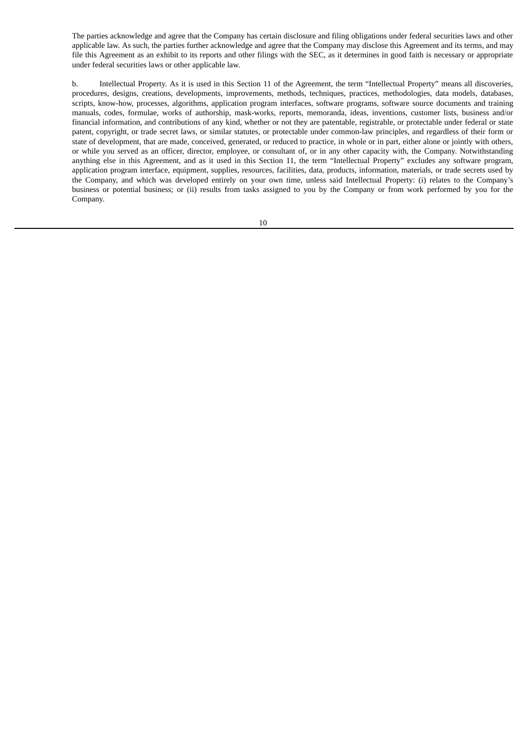The parties acknowledge and agree that the Company has certain disclosure and filing obligations under federal securities laws and other applicable law. As such, the parties further acknowledge and agree that the Company may disclose this Agreement and its terms, and may file this Agreement as an exhibit to its reports and other filings with the SEC, as it determines in good faith is necessary or appropriate under federal securities laws or other applicable law.

b. Intellectual Property. As it is used in this Section 11 of the Agreement, the term "Intellectual Property" means all discoveries, procedures, designs, creations, developments, improvements, methods, techniques, practices, methodologies, data models, databases, scripts, know-how, processes, algorithms, application program interfaces, software programs, software source documents and training manuals, codes, formulae, works of authorship, mask-works, reports, memoranda, ideas, inventions, customer lists, business and/or financial information, and contributions of any kind, whether or not they are patentable, registrable, or protectable under federal or state patent, copyright, or trade secret laws, or similar statutes, or protectable under common-law principles, and regardless of their form or state of development, that are made, conceived, generated, or reduced to practice, in whole or in part, either alone or jointly with others, or while you served as an officer, director, employee, or consultant of, or in any other capacity with, the Company. Notwithstanding anything else in this Agreement, and as it used in this Section 11, the term "Intellectual Property" excludes any software program, application program interface, equipment, supplies, resources, facilities, data, products, information, materials, or trade secrets used by the Company, and which was developed entirely on your own time, unless said Intellectual Property: (i) relates to the Company's business or potential business; or (ii) results from tasks assigned to you by the Company or from work performed by you for the Company.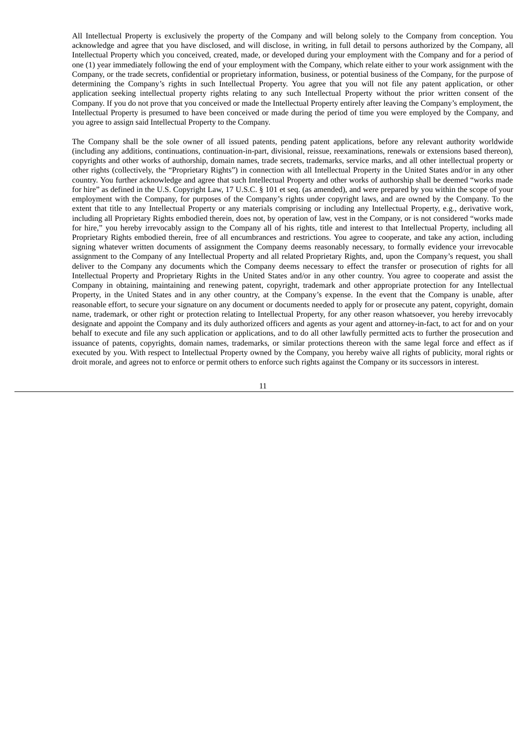All Intellectual Property is exclusively the property of the Company and will belong solely to the Company from conception. You acknowledge and agree that you have disclosed, and will disclose, in writing, in full detail to persons authorized by the Company, all Intellectual Property which you conceived, created, made, or developed during your employment with the Company and for a period of one (1) year immediately following the end of your employment with the Company, which relate either to your work assignment with the Company, or the trade secrets, confidential or proprietary information, business, or potential business of the Company, for the purpose of determining the Company's rights in such Intellectual Property. You agree that you will not file any patent application, or other application seeking intellectual property rights relating to any such Intellectual Property without the prior written consent of the Company. If you do not prove that you conceived or made the Intellectual Property entirely after leaving the Company's employment, the Intellectual Property is presumed to have been conceived or made during the period of time you were employed by the Company, and you agree to assign said Intellectual Property to the Company.

The Company shall be the sole owner of all issued patents, pending patent applications, before any relevant authority worldwide (including any additions, continuations, continuation-in-part, divisional, reissue, reexaminations, renewals or extensions based thereon), copyrights and other works of authorship, domain names, trade secrets, trademarks, service marks, and all other intellectual property or other rights (collectively, the "Proprietary Rights") in connection with all Intellectual Property in the United States and/or in any other country. You further acknowledge and agree that such Intellectual Property and other works of authorship shall be deemed "works made for hire" as defined in the U.S. Copyright Law, 17 U.S.C. § 101 et seq. (as amended), and were prepared by you within the scope of your employment with the Company, for purposes of the Company's rights under copyright laws, and are owned by the Company. To the extent that title to any Intellectual Property or any materials comprising or including any Intellectual Property, e.g., derivative work, including all Proprietary Rights embodied therein, does not, by operation of law, vest in the Company, or is not considered "works made for hire," you hereby irrevocably assign to the Company all of his rights, title and interest to that Intellectual Property, including all Proprietary Rights embodied therein, free of all encumbrances and restrictions. You agree to cooperate, and take any action, including signing whatever written documents of assignment the Company deems reasonably necessary, to formally evidence your irrevocable assignment to the Company of any Intellectual Property and all related Proprietary Rights, and, upon the Company's request, you shall deliver to the Company any documents which the Company deems necessary to effect the transfer or prosecution of rights for all Intellectual Property and Proprietary Rights in the United States and/or in any other country. You agree to cooperate and assist the Company in obtaining, maintaining and renewing patent, copyright, trademark and other appropriate protection for any Intellectual Property, in the United States and in any other country, at the Company's expense. In the event that the Company is unable, after reasonable effort, to secure your signature on any document or documents needed to apply for or prosecute any patent, copyright, domain name, trademark, or other right or protection relating to Intellectual Property, for any other reason whatsoever, you hereby irrevocably designate and appoint the Company and its duly authorized officers and agents as your agent and attorney-in-fact, to act for and on your behalf to execute and file any such application or applications, and to do all other lawfully permitted acts to further the prosecution and issuance of patents, copyrights, domain names, trademarks, or similar protections thereon with the same legal force and effect as if executed by you. With respect to Intellectual Property owned by the Company, you hereby waive all rights of publicity, moral rights or droit morale, and agrees not to enforce or permit others to enforce such rights against the Company or its successors in interest.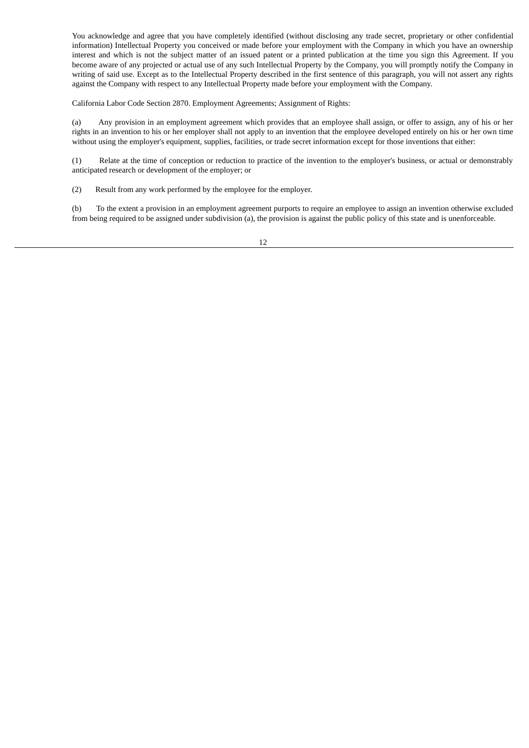You acknowledge and agree that you have completely identified (without disclosing any trade secret, proprietary or other confidential information) Intellectual Property you conceived or made before your employment with the Company in which you have an ownership interest and which is not the subject matter of an issued patent or a printed publication at the time you sign this Agreement. If you become aware of any projected or actual use of any such Intellectual Property by the Company, you will promptly notify the Company in writing of said use. Except as to the Intellectual Property described in the first sentence of this paragraph, you will not assert any rights against the Company with respect to any Intellectual Property made before your employment with the Company.

California Labor Code Section 2870. Employment Agreements; Assignment of Rights:

(a) Any provision in an employment agreement which provides that an employee shall assign, or offer to assign, any of his or her rights in an invention to his or her employer shall not apply to an invention that the employee developed entirely on his or her own time without using the employer's equipment, supplies, facilities, or trade secret information except for those inventions that either:

(1) Relate at the time of conception or reduction to practice of the invention to the employer's business, or actual or demonstrably anticipated research or development of the employer; or

(2) Result from any work performed by the employee for the employer.

(b) To the extent a provision in an employment agreement purports to require an employee to assign an invention otherwise excluded from being required to be assigned under subdivision (a), the provision is against the public policy of this state and is unenforceable.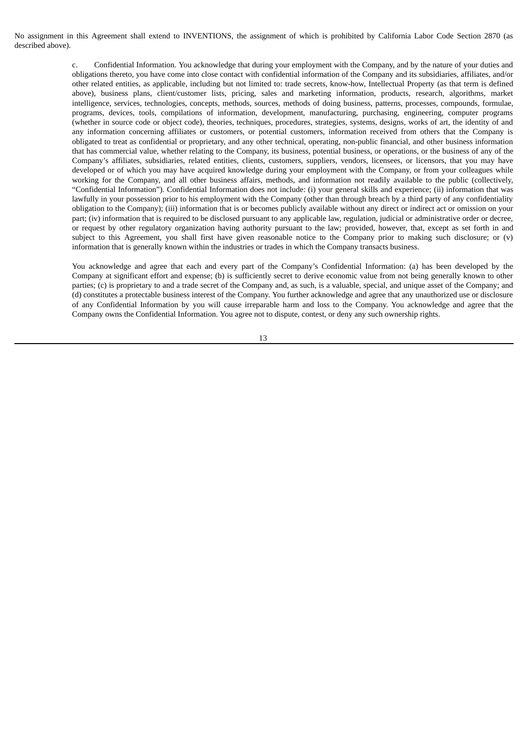No assignment in this Agreement shall extend to INVENTIONS, the assignment of which is prohibited by California Labor Code Section 2870 (as described above).

> c. Confidential Information. You acknowledge that during your employment with the Company, and by the nature of your duties and obligations thereto, you have come into close contact with confidential information of the Company and its subsidiaries, affiliates, and/or other related entities, as applicable, including but not limited to: trade secrets, know-how, Intellectual Property (as that term is defined above), business plans, client/customer lists, pricing, sales and marketing information, products, research, algorithms, market intelligence, services, technologies, concepts, methods, sources, methods of doing business, patterns, processes, compounds, formulae, programs, devices, tools, compilations of information, development, manufacturing, purchasing, engineering, computer programs (whether in source code or object code), theories, techniques, procedures, strategies, systems, designs, works of art, the identity of and any information concerning affiliates or customers, or potential customers, information received from others that the Company is obligated to treat as confidential or proprietary, and any other technical, operating, non-public financial, and other business information that has commercial value, whether relating to the Company, its business, potential business, or operations, or the business of any of the Company's affiliates, subsidiaries, related entities, clients, customers, suppliers, vendors, licensees, or licensors, that you may have developed or of which you may have acquired knowledge during your employment with the Company, or from your colleagues while working for the Company, and all other business affairs, methods, and information not readily available to the public (collectively, "Confidential Information"). Confidential Information does not include: (i) your general skills and experience; (ii) information that was lawfully in your possession prior to his employment with the Company (other than through breach by a third party of any confidentiality obligation to the Company); (iii) information that is or becomes publicly available without any direct or indirect act or omission on your part; (iv) information that is required to be disclosed pursuant to any applicable law, regulation, judicial or administrative order or decree, or request by other regulatory organization having authority pursuant to the law; provided, however, that, except as set forth in and subject to this Agreement, you shall first have given reasonable notice to the Company prior to making such disclosure; or (v) information that is generally known within the industries or trades in which the Company transacts business.

> You acknowledge and agree that each and every part of the Company's Confidential Information: (a) has been developed by the Company at significant effort and expense; (b) is sufficiently secret to derive economic value from not being generally known to other parties; (c) is proprietary to and a trade secret of the Company and, as such, is a valuable, special, and unique asset of the Company; and (d) constitutes a protectable business interest of the Company. You further acknowledge and agree that any unauthorized use or disclosure of any Confidential Information by you will cause irreparable harm and loss to the Company. You acknowledge and agree that the Company owns the Confidential Information. You agree not to dispute, contest, or deny any such ownership rights.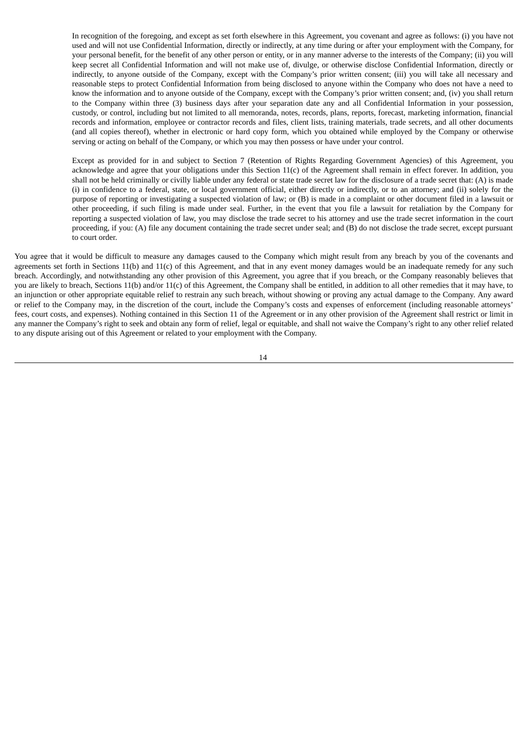In recognition of the foregoing, and except as set forth elsewhere in this Agreement, you covenant and agree as follows: (i) you have not used and will not use Confidential Information, directly or indirectly, at any time during or after your employment with the Company, for your personal benefit, for the benefit of any other person or entity, or in any manner adverse to the interests of the Company; (ii) you will keep secret all Confidential Information and will not make use of, divulge, or otherwise disclose Confidential Information, directly or indirectly, to anyone outside of the Company, except with the Company's prior written consent; (iii) you will take all necessary and reasonable steps to protect Confidential Information from being disclosed to anyone within the Company who does not have a need to know the information and to anyone outside of the Company, except with the Company's prior written consent; and, (iv) you shall return to the Company within three (3) business days after your separation date any and all Confidential Information in your possession, custody, or control, including but not limited to all memoranda, notes, records, plans, reports, forecast, marketing information, financial records and information, employee or contractor records and files, client lists, training materials, trade secrets, and all other documents (and all copies thereof), whether in electronic or hard copy form, which you obtained while employed by the Company or otherwise serving or acting on behalf of the Company, or which you may then possess or have under your control.

Except as provided for in and subject to Section 7 (Retention of Rights Regarding Government Agencies) of this Agreement, you acknowledge and agree that your obligations under this Section 11(c) of the Agreement shall remain in effect forever. In addition, you shall not be held criminally or civilly liable under any federal or state trade secret law for the disclosure of a trade secret that: (A) is made (i) in confidence to a federal, state, or local government official, either directly or indirectly, or to an attorney; and (ii) solely for the purpose of reporting or investigating a suspected violation of law; or (B) is made in a complaint or other document filed in a lawsuit or other proceeding, if such filing is made under seal. Further, in the event that you file a lawsuit for retaliation by the Company for reporting a suspected violation of law, you may disclose the trade secret to his attorney and use the trade secret information in the court proceeding, if you: (A) file any document containing the trade secret under seal; and (B) do not disclose the trade secret, except pursuant to court order.

You agree that it would be difficult to measure any damages caused to the Company which might result from any breach by you of the covenants and agreements set forth in Sections 11(b) and 11(c) of this Agreement, and that in any event money damages would be an inadequate remedy for any such breach. Accordingly, and notwithstanding any other provision of this Agreement, you agree that if you breach, or the Company reasonably believes that you are likely to breach, Sections 11(b) and/or 11(c) of this Agreement, the Company shall be entitled, in addition to all other remedies that it may have, to an injunction or other appropriate equitable relief to restrain any such breach, without showing or proving any actual damage to the Company. Any award or relief to the Company may, in the discretion of the court, include the Company's costs and expenses of enforcement (including reasonable attorneys' fees, court costs, and expenses). Nothing contained in this Section 11 of the Agreement or in any other provision of the Agreement shall restrict or limit in any manner the Company's right to seek and obtain any form of relief, legal or equitable, and shall not waive the Company's right to any other relief related to any dispute arising out of this Agreement or related to your employment with the Company.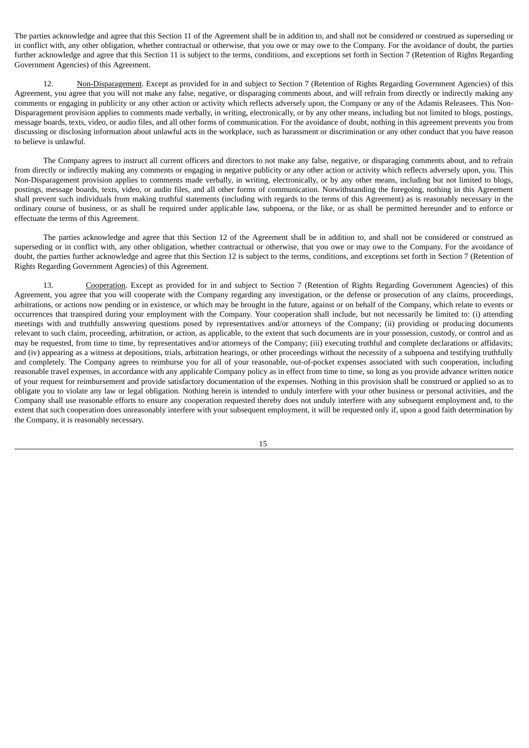The parties acknowledge and agree that this Section 11 of the Agreement shall be in addition to, and shall not be considered or construed as superseding or in conflict with, any other obligation, whether contractual or otherwise, that you owe or may owe to the Company. For the avoidance of doubt, the parties further acknowledge and agree that this Section 11 is subject to the terms, conditions, and exceptions set forth in Section 7 (Retention of Rights Regarding Government Agencies) of this Agreement.

12. Non-Disparagement. Except as provided for in and subject to Section 7 (Retention of Rights Regarding Government Agencies) of this Agreement, you agree that you will not make any false, negative, or disparaging comments about, and will refrain from directly or indirectly making any comments or engaging in publicity or any other action or activity which reflects adversely upon, the Company or any of the Adamis Releasees. This Non-Disparagement provision applies to comments made verbally, in writing, electronically, or by any other means, including but not limited to blogs, postings, message boards, texts, video, or audio files, and all other forms of communication. For the avoidance of doubt, nothing in this agreement prevents you from discussing or disclosing information about unlawful acts in the workplace, such as harassment or discrimination or any other conduct that you have reason to believe is unlawful.

The Company agrees to instruct all current officers and directors to not make any false, negative, or disparaging comments about, and to refrain from directly or indirectly making any comments or engaging in negative publicity or any other action or activity which reflects adversely upon, you. This Non-Disparagement provision applies to comments made verbally, in writing, electronically, or by any other means, including but not limited to blogs, postings, message boards, texts, video, or audio files, and all other forms of communication. Notwithstanding the foregoing, nothing in this Agreement shall prevent such individuals from making truthful statements (including with regards to the terms of this Agreement) as is reasonably necessary in the ordinary course of business, or as shall be required under applicable law, subpoena, or the like, or as shall be permitted hereunder and to enforce or effectuate the terms of this Agreement.

The parties acknowledge and agree that this Section 12 of the Agreement shall be in addition to, and shall not be considered or construed as superseding or in conflict with, any other obligation, whether contractual or otherwise, that you owe or may owe to the Company. For the avoidance of doubt, the parties further acknowledge and agree that this Section 12 is subject to the terms, conditions, and exceptions set forth in Section 7 (Retention of Rights Regarding Government Agencies) of this Agreement.

13. Cooperation. Except as provided for in and subject to Section 7 (Retention of Rights Regarding Government Agencies) of this Agreement, you agree that you will cooperate with the Company regarding any investigation, or the defense or prosecution of any claims, proceedings, arbitrations, or actions now pending or in existence, or which may be brought in the future, against or on behalf of the Company, which relate to events or occurrences that transpired during your employment with the Company. Your cooperation shall include, but not necessarily be limited to: (i) attending meetings with and truthfully answering questions posed by representatives and/or attorneys of the Company; (ii) providing or producing documents relevant to such claim, proceeding, arbitration, or action, as applicable, to the extent that such documents are in your possession, custody, or control and as may be requested, from time to time, by representatives and/or attorneys of the Company; (iii) executing truthful and complete declarations or affidavits; and (iv) appearing as a witness at depositions, trials, arbitration hearings, or other proceedings without the necessity of a subpoena and testifying truthfully and completely. The Company agrees to reimburse you for all of your reasonable, out-of-pocket expenses associated with such cooperation, including reasonable travel expenses, in accordance with any applicable Company policy as in effect from time to time, so long as you provide advance written notice of your request for reimbursement and provide satisfactory documentation of the expenses. Nothing in this provision shall be construed or applied so as to obligate you to violate any law or legal obligation. Nothing herein is intended to unduly interfere with your other business or personal activities, and the Company shall use reasonable efforts to ensure any cooperation requested thereby does not unduly interfere with any subsequent employment and, to the extent that such cooperation does unreasonably interfere with your subsequent employment, it will be requested only if, upon a good faith determination by the Company, it is reasonably necessary.

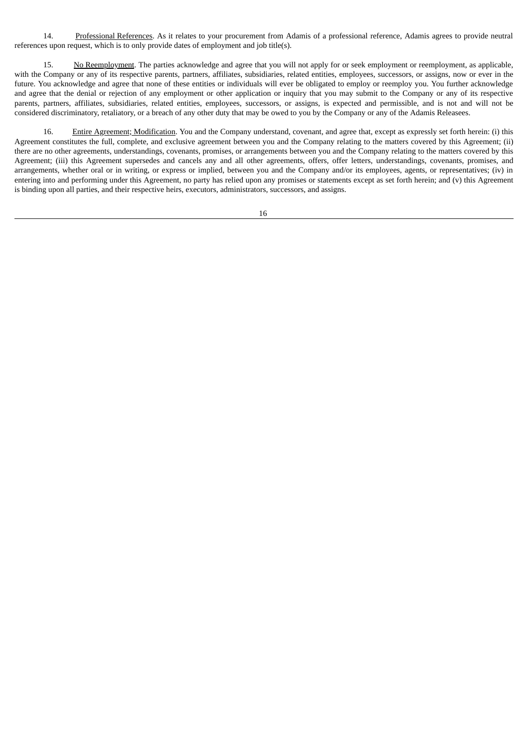14. Professional References. As it relates to your procurement from Adamis of a professional reference, Adamis agrees to provide neutral references upon request, which is to only provide dates of employment and job title(s).

15. No Reemployment. The parties acknowledge and agree that you will not apply for or seek employment or reemployment, as applicable, with the Company or any of its respective parents, partners, affiliates, subsidiaries, related entities, employees, successors, or assigns, now or ever in the future. You acknowledge and agree that none of these entities or individuals will ever be obligated to employ or reemploy you. You further acknowledge and agree that the denial or rejection of any employment or other application or inquiry that you may submit to the Company or any of its respective parents, partners, affiliates, subsidiaries, related entities, employees, successors, or assigns, is expected and permissible, and is not and will not be considered discriminatory, retaliatory, or a breach of any other duty that may be owed to you by the Company or any of the Adamis Releasees.

16. Entire Agreement; Modification. You and the Company understand, covenant, and agree that, except as expressly set forth herein: (i) this Agreement constitutes the full, complete, and exclusive agreement between you and the Company relating to the matters covered by this Agreement; (ii) there are no other agreements, understandings, covenants, promises, or arrangements between you and the Company relating to the matters covered by this Agreement; (iii) this Agreement supersedes and cancels any and all other agreements, offers, offer letters, understandings, covenants, promises, and arrangements, whether oral or in writing, or express or implied, between you and the Company and/or its employees, agents, or representatives; (iv) in entering into and performing under this Agreement, no party has relied upon any promises or statements except as set forth herein; and (v) this Agreement is binding upon all parties, and their respective heirs, executors, administrators, successors, and assigns.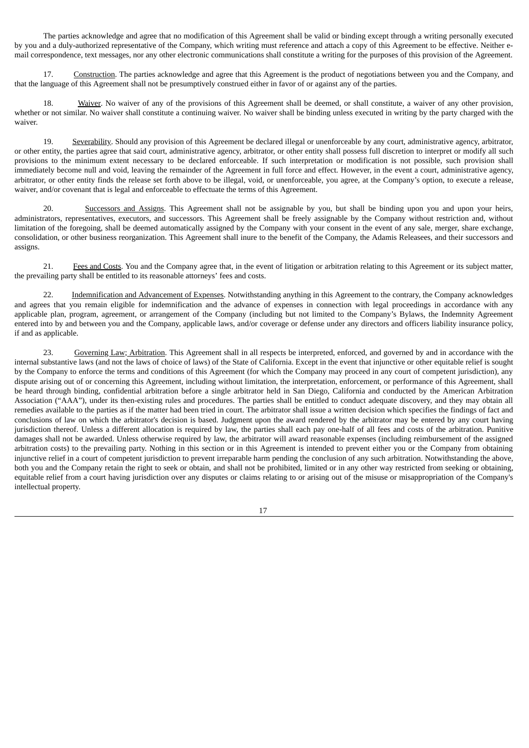The parties acknowledge and agree that no modification of this Agreement shall be valid or binding except through a writing personally executed by you and a duly-authorized representative of the Company, which writing must reference and attach a copy of this Agreement to be effective. Neither email correspondence, text messages, nor any other electronic communications shall constitute a writing for the purposes of this provision of the Agreement.

17. Construction. The parties acknowledge and agree that this Agreement is the product of negotiations between you and the Company, and that the language of this Agreement shall not be presumptively construed either in favor of or against any of the parties.

18. Waiver. No waiver of any of the provisions of this Agreement shall be deemed, or shall constitute, a waiver of any other provision, whether or not similar. No waiver shall constitute a continuing waiver. No waiver shall be binding unless executed in writing by the party charged with the waiver.

19. Severability. Should any provision of this Agreement be declared illegal or unenforceable by any court, administrative agency, arbitrator, or other entity, the parties agree that said court, administrative agency, arbitrator, or other entity shall possess full discretion to interpret or modify all such provisions to the minimum extent necessary to be declared enforceable. If such interpretation or modification is not possible, such provision shall immediately become null and void, leaving the remainder of the Agreement in full force and effect. However, in the event a court, administrative agency, arbitrator, or other entity finds the release set forth above to be illegal, void, or unenforceable, you agree, at the Company's option, to execute a release, waiver, and/or covenant that is legal and enforceable to effectuate the terms of this Agreement.

20. Successors and Assigns. This Agreement shall not be assignable by you, but shall be binding upon you and upon your heirs, administrators, representatives, executors, and successors. This Agreement shall be freely assignable by the Company without restriction and, without limitation of the foregoing, shall be deemed automatically assigned by the Company with your consent in the event of any sale, merger, share exchange, consolidation, or other business reorganization. This Agreement shall inure to the benefit of the Company, the Adamis Releasees, and their successors and assigns.

21. Fees and Costs. You and the Company agree that, in the event of litigation or arbitration relating to this Agreement or its subject matter, the prevailing party shall be entitled to its reasonable attorneys' fees and costs.

22. Indemnification and Advancement of Expenses. Notwithstanding anything in this Agreement to the contrary, the Company acknowledges and agrees that you remain eligible for indemnification and the advance of expenses in connection with legal proceedings in accordance with any applicable plan, program, agreement, or arrangement of the Company (including but not limited to the Company's Bylaws, the Indemnity Agreement entered into by and between you and the Company, applicable laws, and/or coverage or defense under any directors and officers liability insurance policy, if and as applicable.

23. Governing Law; Arbitration. This Agreement shall in all respects be interpreted, enforced, and governed by and in accordance with the internal substantive laws (and not the laws of choice of laws) of the State of California. Except in the event that injunctive or other equitable relief is sought by the Company to enforce the terms and conditions of this Agreement (for which the Company may proceed in any court of competent jurisdiction), any dispute arising out of or concerning this Agreement, including without limitation, the interpretation, enforcement, or performance of this Agreement, shall be heard through binding, confidential arbitration before a single arbitrator held in San Diego, California and conducted by the American Arbitration Association ("AAA"), under its then-existing rules and procedures. The parties shall be entitled to conduct adequate discovery, and they may obtain all remedies available to the parties as if the matter had been tried in court. The arbitrator shall issue a written decision which specifies the findings of fact and conclusions of law on which the arbitrator's decision is based. Judgment upon the award rendered by the arbitrator may be entered by any court having jurisdiction thereof. Unless a different allocation is required by law, the parties shall each pay one-half of all fees and costs of the arbitration. Punitive damages shall not be awarded. Unless otherwise required by law, the arbitrator will award reasonable expenses (including reimbursement of the assigned arbitration costs) to the prevailing party. Nothing in this section or in this Agreement is intended to prevent either you or the Company from obtaining injunctive relief in a court of competent jurisdiction to prevent irreparable harm pending the conclusion of any such arbitration. Notwithstanding the above, both you and the Company retain the right to seek or obtain, and shall not be prohibited, limited or in any other way restricted from seeking or obtaining, equitable relief from a court having jurisdiction over any disputes or claims relating to or arising out of the misuse or misappropriation of the Company's intellectual property.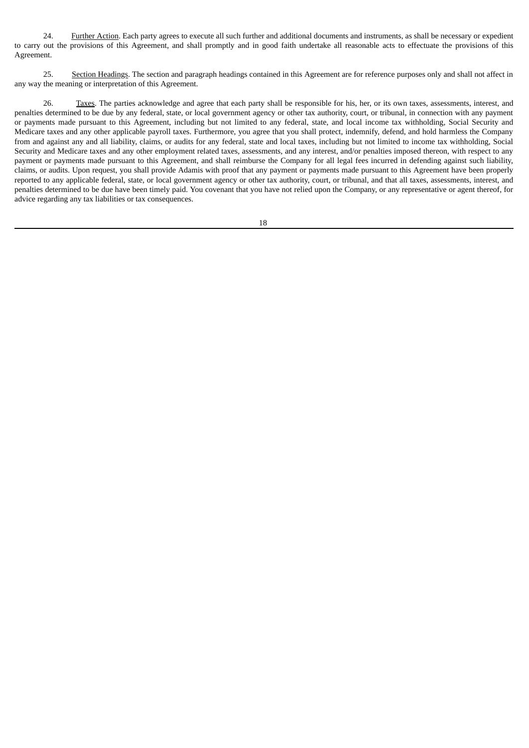24. Further Action. Each party agrees to execute all such further and additional documents and instruments, as shall be necessary or expedient to carry out the provisions of this Agreement, and shall promptly and in good faith undertake all reasonable acts to effectuate the provisions of this Agreement.

25. Section Headings. The section and paragraph headings contained in this Agreement are for reference purposes only and shall not affect in any way the meaning or interpretation of this Agreement.

26. Taxes. The parties acknowledge and agree that each party shall be responsible for his, her, or its own taxes, assessments, interest, and penalties determined to be due by any federal, state, or local government agency or other tax authority, court, or tribunal, in connection with any payment or payments made pursuant to this Agreement, including but not limited to any federal, state, and local income tax withholding, Social Security and Medicare taxes and any other applicable payroll taxes. Furthermore, you agree that you shall protect, indemnify, defend, and hold harmless the Company from and against any and all liability, claims, or audits for any federal, state and local taxes, including but not limited to income tax withholding, Social Security and Medicare taxes and any other employment related taxes, assessments, and any interest, and/or penalties imposed thereon, with respect to any payment or payments made pursuant to this Agreement, and shall reimburse the Company for all legal fees incurred in defending against such liability, claims, or audits. Upon request, you shall provide Adamis with proof that any payment or payments made pursuant to this Agreement have been properly reported to any applicable federal, state, or local government agency or other tax authority, court, or tribunal, and that all taxes, assessments, interest, and penalties determined to be due have been timely paid. You covenant that you have not relied upon the Company, or any representative or agent thereof, for advice regarding any tax liabilities or tax consequences.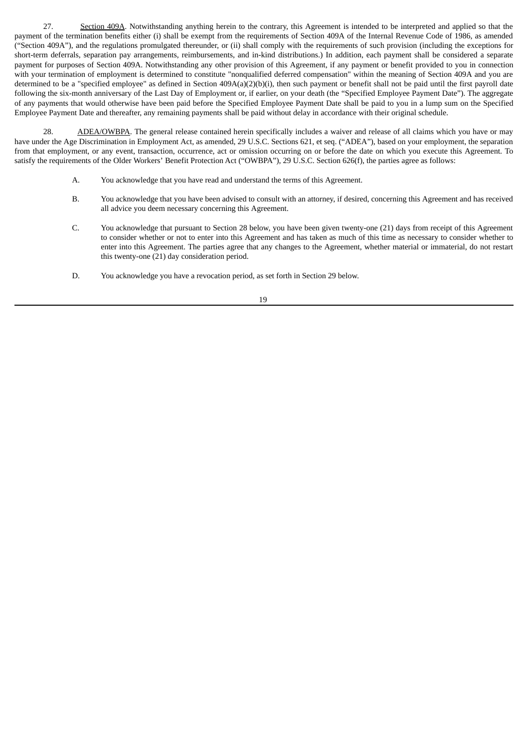27. Section 409A. Notwithstanding anything herein to the contrary, this Agreement is intended to be interpreted and applied so that the payment of the termination benefits either (i) shall be exempt from the requirements of Section 409A of the Internal Revenue Code of 1986, as amended ("Section 409A"), and the regulations promulgated thereunder, or (ii) shall comply with the requirements of such provision (including the exceptions for short-term deferrals, separation pay arrangements, reimbursements, and in-kind distributions.) In addition, each payment shall be considered a separate payment for purposes of Section 409A. Notwithstanding any other provision of this Agreement, if any payment or benefit provided to you in connection with your termination of employment is determined to constitute "nonqualified deferred compensation" within the meaning of Section 409A and you are determined to be a "specified employee" as defined in Section 409A(a)(2)(b)(i), then such payment or benefit shall not be paid until the first payroll date following the six-month anniversary of the Last Day of Employment or, if earlier, on your death (the "Specified Employee Payment Date"). The aggregate of any payments that would otherwise have been paid before the Specified Employee Payment Date shall be paid to you in a lump sum on the Specified Employee Payment Date and thereafter, any remaining payments shall be paid without delay in accordance with their original schedule.

28. ADEA/OWBPA. The general release contained herein specifically includes a waiver and release of all claims which you have or may have under the Age Discrimination in Employment Act, as amended, 29 U.S.C. Sections 621, et seq. ("ADEA"), based on your employment, the separation from that employment, or any event, transaction, occurrence, act or omission occurring on or before the date on which you execute this Agreement. To satisfy the requirements of the Older Workers' Benefit Protection Act ("OWBPA"), 29 U.S.C. Section 626(f), the parties agree as follows:

- A. You acknowledge that you have read and understand the terms of this Agreement.
- B. You acknowledge that you have been advised to consult with an attorney, if desired, concerning this Agreement and has received all advice you deem necessary concerning this Agreement.
- C. You acknowledge that pursuant to Section 28 below, you have been given twenty-one (21) days from receipt of this Agreement to consider whether or not to enter into this Agreement and has taken as much of this time as necessary to consider whether to enter into this Agreement. The parties agree that any changes to the Agreement, whether material or immaterial, do not restart this twenty-one (21) day consideration period.
- D. You acknowledge you have a revocation period, as set forth in Section 29 below.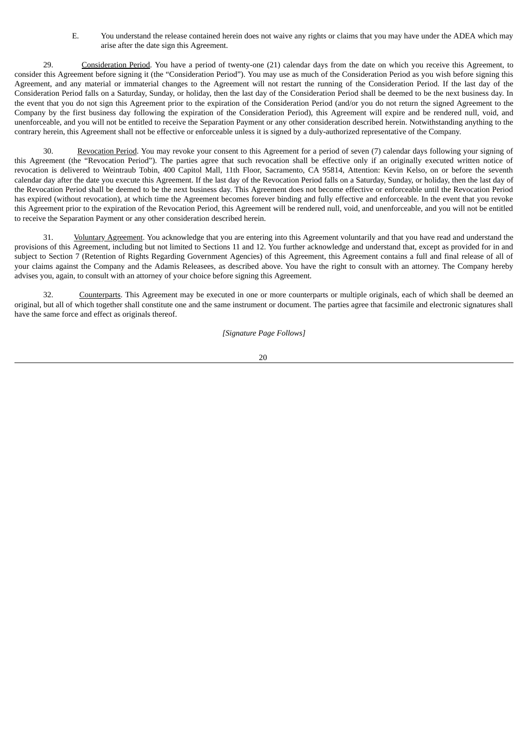E. You understand the release contained herein does not waive any rights or claims that you may have under the ADEA which may arise after the date sign this Agreement.

29. Consideration Period. You have a period of twenty-one (21) calendar days from the date on which you receive this Agreement, to consider this Agreement before signing it (the "Consideration Period"). You may use as much of the Consideration Period as you wish before signing this Agreement, and any material or immaterial changes to the Agreement will not restart the running of the Consideration Period. If the last day of the Consideration Period falls on a Saturday, Sunday, or holiday, then the last day of the Consideration Period shall be deemed to be the next business day. In the event that you do not sign this Agreement prior to the expiration of the Consideration Period (and/or you do not return the signed Agreement to the Company by the first business day following the expiration of the Consideration Period), this Agreement will expire and be rendered null, void, and unenforceable, and you will not be entitled to receive the Separation Payment or any other consideration described herein. Notwithstanding anything to the contrary herein, this Agreement shall not be effective or enforceable unless it is signed by a duly-authorized representative of the Company.

30. Revocation Period. You may revoke your consent to this Agreement for a period of seven (7) calendar days following your signing of this Agreement (the "Revocation Period"). The parties agree that such revocation shall be effective only if an originally executed written notice of revocation is delivered to Weintraub Tobin, 400 Capitol Mall, 11th Floor, Sacramento, CA 95814, Attention: Kevin Kelso, on or before the seventh calendar day after the date you execute this Agreement. If the last day of the Revocation Period falls on a Saturday, Sunday, or holiday, then the last day of the Revocation Period shall be deemed to be the next business day. This Agreement does not become effective or enforceable until the Revocation Period has expired (without revocation), at which time the Agreement becomes forever binding and fully effective and enforceable. In the event that you revoke this Agreement prior to the expiration of the Revocation Period, this Agreement will be rendered null, void, and unenforceable, and you will not be entitled to receive the Separation Payment or any other consideration described herein.

31. Voluntary Agreement. You acknowledge that you are entering into this Agreement voluntarily and that you have read and understand the provisions of this Agreement, including but not limited to Sections 11 and 12. You further acknowledge and understand that, except as provided for in and subject to Section 7 (Retention of Rights Regarding Government Agencies) of this Agreement, this Agreement contains a full and final release of all of your claims against the Company and the Adamis Releasees, as described above. You have the right to consult with an attorney. The Company hereby advises you, again, to consult with an attorney of your choice before signing this Agreement.

32. Counterparts. This Agreement may be executed in one or more counterparts or multiple originals, each of which shall be deemed an original, but all of which together shall constitute one and the same instrument or document. The parties agree that facsimile and electronic signatures shall have the same force and effect as originals thereof.

*[Signature Page Follows]*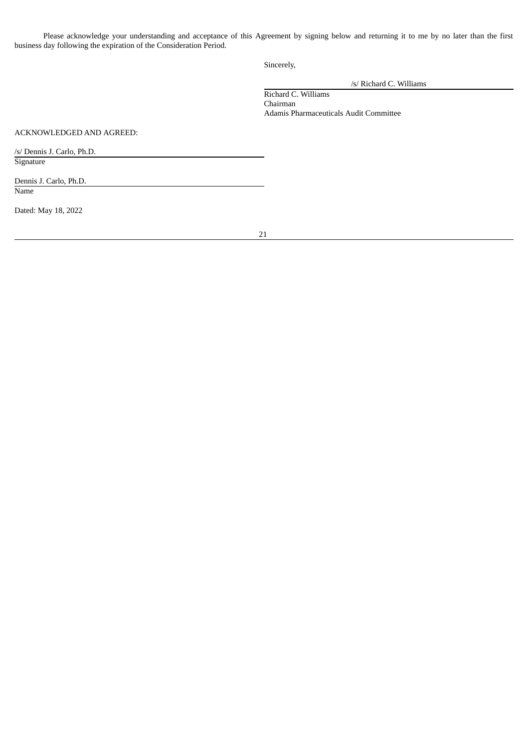Please acknowledge your understanding and acceptance of this Agreement by signing below and returning it to me by no later than the first business day following the expiration of the Consideration Period.

Sincerely,

/s/ Richard C. Williams

Richard C. Williams Chairman Adamis Pharmaceuticals Audit Committee

ACKNOWLEDGED AND AGREED:

/s/ Dennis J. Carlo, Ph.D. **Signature** 

Dennis J. Carlo, Ph.D. Name

Dated: May 18, 2022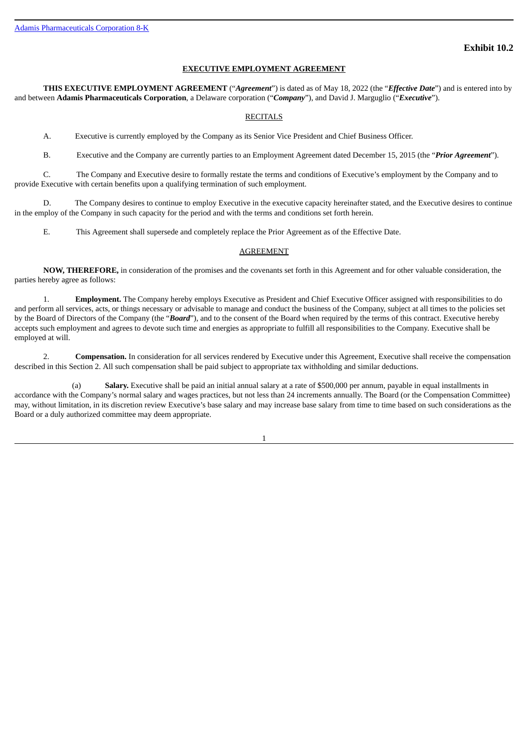#### **EXECUTIVE EMPLOYMENT AGREEMENT**

<span id="page-26-0"></span>**THIS EXECUTIVE EMPLOYMENT AGREEMENT** ("*Agreement*") is dated as of May 18, 2022 (the "*Effective Date*") and is entered into by and between **Adamis Pharmaceuticals Corporation**, a Delaware corporation ("*Company*"), and David J. Marguglio ("*Executive*").

#### RECITALS

A. Executive is currently employed by the Company as its Senior Vice President and Chief Business Officer.

B. Executive and the Company are currently parties to an Employment Agreement dated December 15, 2015 (the "*Prior Agreement*").

C. The Company and Executive desire to formally restate the terms and conditions of Executive's employment by the Company and to provide Executive with certain benefits upon a qualifying termination of such employment.

D. The Company desires to continue to employ Executive in the executive capacity hereinafter stated, and the Executive desires to continue in the employ of the Company in such capacity for the period and with the terms and conditions set forth herein.

E. This Agreement shall supersede and completely replace the Prior Agreement as of the Effective Date.

#### AGREEMENT

**NOW, THEREFORE,** in consideration of the promises and the covenants set forth in this Agreement and for other valuable consideration, the parties hereby agree as follows:

1. **Employment.** The Company hereby employs Executive as President and Chief Executive Officer assigned with responsibilities to do and perform all services, acts, or things necessary or advisable to manage and conduct the business of the Company, subject at all times to the policies set by the Board of Directors of the Company (the "*Board*"), and to the consent of the Board when required by the terms of this contract. Executive hereby accepts such employment and agrees to devote such time and energies as appropriate to fulfill all responsibilities to the Company. Executive shall be employed at will.

2. **Compensation.** In consideration for all services rendered by Executive under this Agreement, Executive shall receive the compensation described in this Section 2. All such compensation shall be paid subject to appropriate tax withholding and similar deductions.

(a) **Salary.** Executive shall be paid an initial annual salary at a rate of \$500,000 per annum, payable in equal installments in accordance with the Company's normal salary and wages practices, but not less than 24 increments annually. The Board (or the Compensation Committee) may, without limitation, in its discretion review Executive's base salary and may increase base salary from time to time based on such considerations as the Board or a duly authorized committee may deem appropriate.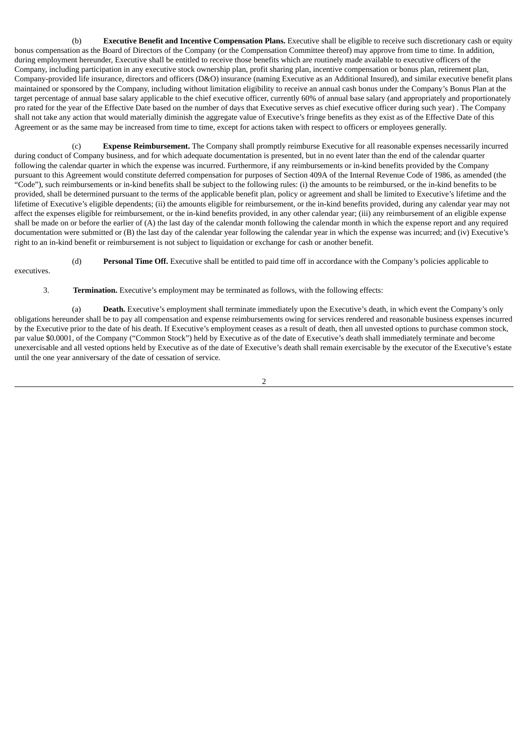(b) **Executive Benefit and Incentive Compensation Plans.** Executive shall be eligible to receive such discretionary cash or equity bonus compensation as the Board of Directors of the Company (or the Compensation Committee thereof) may approve from time to time. In addition, during employment hereunder, Executive shall be entitled to receive those benefits which are routinely made available to executive officers of the Company, including participation in any executive stock ownership plan, profit sharing plan, incentive compensation or bonus plan, retirement plan, Company-provided life insurance, directors and officers (D&O) insurance (naming Executive as an Additional Insured), and similar executive benefit plans maintained or sponsored by the Company, including without limitation eligibility to receive an annual cash bonus under the Company's Bonus Plan at the target percentage of annual base salary applicable to the chief executive officer, currently 60% of annual base salary (and appropriately and proportionately pro rated for the year of the Effective Date based on the number of days that Executive serves as chief executive officer during such year) . The Company shall not take any action that would materially diminish the aggregate value of Executive's fringe benefits as they exist as of the Effective Date of this Agreement or as the same may be increased from time to time, except for actions taken with respect to officers or employees generally.

(c) **Expense Reimbursement.** The Company shall promptly reimburse Executive for all reasonable expenses necessarily incurred during conduct of Company business, and for which adequate documentation is presented, but in no event later than the end of the calendar quarter following the calendar quarter in which the expense was incurred. Furthermore, if any reimbursements or in-kind benefits provided by the Company pursuant to this Agreement would constitute deferred compensation for purposes of Section 409A of the Internal Revenue Code of 1986, as amended (the "Code"), such reimbursements or in-kind benefits shall be subject to the following rules: (i) the amounts to be reimbursed, or the in-kind benefits to be provided, shall be determined pursuant to the terms of the applicable benefit plan, policy or agreement and shall be limited to Executive's lifetime and the lifetime of Executive's eligible dependents; (ii) the amounts eligible for reimbursement, or the in-kind benefits provided, during any calendar year may not affect the expenses eligible for reimbursement, or the in-kind benefits provided, in any other calendar year; (iii) any reimbursement of an eligible expense shall be made on or before the earlier of (A) the last day of the calendar month following the calendar month in which the expense report and any required documentation were submitted or (B) the last day of the calendar year following the calendar year in which the expense was incurred; and (iv) Executive's right to an in-kind benefit or reimbursement is not subject to liquidation or exchange for cash or another benefit.

(d) **Personal Time Off.** Executive shall be entitled to paid time off in accordance with the Company's policies applicable to

executives.

#### 3. **Termination.** Executive's employment may be terminated as follows, with the following effects:

(a) **Death.** Executive's employment shall terminate immediately upon the Executive's death, in which event the Company's only obligations hereunder shall be to pay all compensation and expense reimbursements owing for services rendered and reasonable business expenses incurred by the Executive prior to the date of his death. If Executive's employment ceases as a result of death, then all unvested options to purchase common stock, par value \$0.0001, of the Company ("Common Stock") held by Executive as of the date of Executive's death shall immediately terminate and become unexercisable and all vested options held by Executive as of the date of Executive's death shall remain exercisable by the executor of the Executive's estate until the one year anniversary of the date of cessation of service.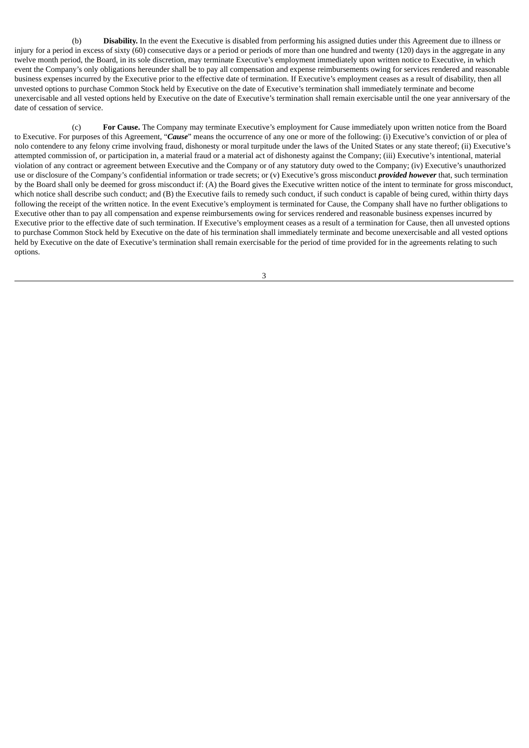(b) **Disability.** In the event the Executive is disabled from performing his assigned duties under this Agreement due to illness or injury for a period in excess of sixty (60) consecutive days or a period or periods of more than one hundred and twenty (120) days in the aggregate in any twelve month period, the Board, in its sole discretion, may terminate Executive's employment immediately upon written notice to Executive, in which event the Company's only obligations hereunder shall be to pay all compensation and expense reimbursements owing for services rendered and reasonable business expenses incurred by the Executive prior to the effective date of termination. If Executive's employment ceases as a result of disability, then all unvested options to purchase Common Stock held by Executive on the date of Executive's termination shall immediately terminate and become unexercisable and all vested options held by Executive on the date of Executive's termination shall remain exercisable until the one year anniversary of the date of cessation of service.

(c) **For Cause.** The Company may terminate Executive's employment for Cause immediately upon written notice from the Board to Executive. For purposes of this Agreement, "*Cause*" means the occurrence of any one or more of the following: (i) Executive's conviction of or plea of nolo contendere to any felony crime involving fraud, dishonesty or moral turpitude under the laws of the United States or any state thereof; (ii) Executive's attempted commission of, or participation in, a material fraud or a material act of dishonesty against the Company; (iii) Executive's intentional, material violation of any contract or agreement between Executive and the Company or of any statutory duty owed to the Company; (iv) Executive's unauthorized use or disclosure of the Company's confidential information or trade secrets; or (v) Executive's gross misconduct *provided however* that, such termination by the Board shall only be deemed for gross misconduct if: (A) the Board gives the Executive written notice of the intent to terminate for gross misconduct, which notice shall describe such conduct; and (B) the Executive fails to remedy such conduct, if such conduct is capable of being cured, within thirty days following the receipt of the written notice. In the event Executive's employment is terminated for Cause, the Company shall have no further obligations to Executive other than to pay all compensation and expense reimbursements owing for services rendered and reasonable business expenses incurred by Executive prior to the effective date of such termination. If Executive's employment ceases as a result of a termination for Cause, then all unvested options to purchase Common Stock held by Executive on the date of his termination shall immediately terminate and become unexercisable and all vested options held by Executive on the date of Executive's termination shall remain exercisable for the period of time provided for in the agreements relating to such options.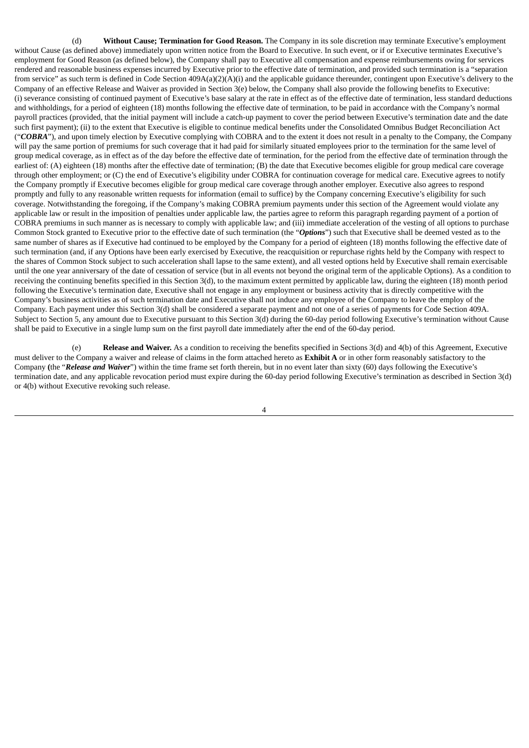(d) **Without Cause; Termination for Good Reason.** The Company in its sole discretion may terminate Executive's employment without Cause (as defined above) immediately upon written notice from the Board to Executive. In such event, or if or Executive terminates Executive's employment for Good Reason (as defined below), the Company shall pay to Executive all compensation and expense reimbursements owing for services rendered and reasonable business expenses incurred by Executive prior to the effective date of termination, and provided such termination is a "separation from service" as such term is defined in Code Section 409A(a)(2)(A)(i) and the applicable guidance thereunder, contingent upon Executive's delivery to the Company of an effective Release and Waiver as provided in Section 3(e) below, the Company shall also provide the following benefits to Executive: (i) severance consisting of continued payment of Executive's base salary at the rate in effect as of the effective date of termination, less standard deductions and withholdings, for a period of eighteen (18) months following the effective date of termination, to be paid in accordance with the Company's normal payroll practices (provided, that the initial payment will include a catch-up payment to cover the period between Executive's termination date and the date such first payment); (ii) to the extent that Executive is eligible to continue medical benefits under the Consolidated Omnibus Budget Reconciliation Act ("*COBRA*"), and upon timely election by Executive complying with COBRA and to the extent it does not result in a penalty to the Company, the Company will pay the same portion of premiums for such coverage that it had paid for similarly situated employees prior to the termination for the same level of group medical coverage, as in effect as of the day before the effective date of termination, for the period from the effective date of termination through the earliest of: (A) eighteen (18) months after the effective date of termination; (B) the date that Executive becomes eligible for group medical care coverage through other employment; or (C) the end of Executive's eligibility under COBRA for continuation coverage for medical care. Executive agrees to notify the Company promptly if Executive becomes eligible for group medical care coverage through another employer. Executive also agrees to respond promptly and fully to any reasonable written requests for information (email to suffice) by the Company concerning Executive's eligibility for such coverage. Notwithstanding the foregoing, if the Company's making COBRA premium payments under this section of the Agreement would violate any applicable law or result in the imposition of penalties under applicable law, the parties agree to reform this paragraph regarding payment of a portion of COBRA premiums in such manner as is necessary to comply with applicable law; and (iii) immediate acceleration of the vesting of all options to purchase Common Stock granted to Executive prior to the effective date of such termination (the "*Options*") such that Executive shall be deemed vested as to the same number of shares as if Executive had continued to be employed by the Company for a period of eighteen (18) months following the effective date of such termination (and, if any Options have been early exercised by Executive, the reacquisition or repurchase rights held by the Company with respect to the shares of Common Stock subject to such acceleration shall lapse to the same extent), and all vested options held by Executive shall remain exercisable until the one year anniversary of the date of cessation of service (but in all events not beyond the original term of the applicable Options). As a condition to receiving the continuing benefits specified in this Section 3(d), to the maximum extent permitted by applicable law, during the eighteen (18) month period following the Executive's termination date, Executive shall not engage in any employment or business activity that is directly competitive with the Company's business activities as of such termination date and Executive shall not induce any employee of the Company to leave the employ of the Company. Each payment under this Section 3(d) shall be considered a separate payment and not one of a series of payments for Code Section 409A. Subject to Section 5, any amount due to Executive pursuant to this Section 3(d) during the 60-day period following Executive's termination without Cause shall be paid to Executive in a single lump sum on the first payroll date immediately after the end of the 60-day period.

(e) **Release and Waiver.** As a condition to receiving the benefits specified in Sections 3(d) and 4(b) of this Agreement, Executive must deliver to the Company a waiver and release of claims in the form attached hereto as **Exhibit A** or in other form reasonably satisfactory to the Company **(**the "*Release and Waiver*") within the time frame set forth therein, but in no event later than sixty (60) days following the Executive's termination date, and any applicable revocation period must expire during the 60-day period following Executive's termination as described in Section 3(d) or 4(b) without Executive revoking such release.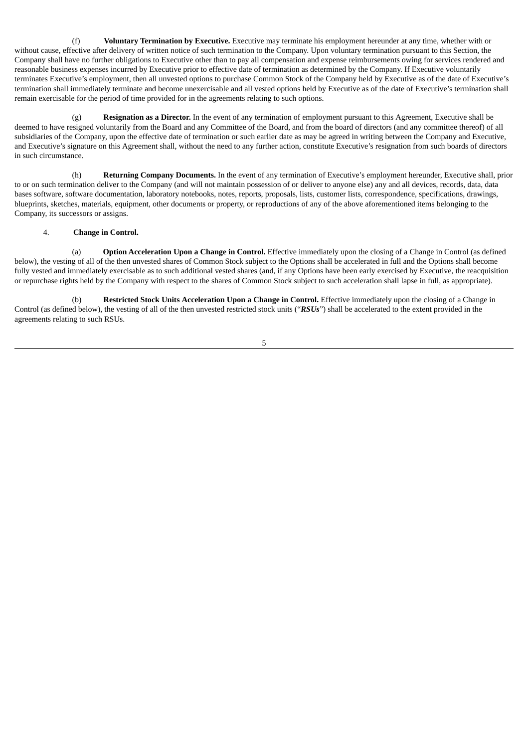(f) **Voluntary Termination by Executive.** Executive may terminate his employment hereunder at any time, whether with or without cause, effective after delivery of written notice of such termination to the Company. Upon voluntary termination pursuant to this Section, the Company shall have no further obligations to Executive other than to pay all compensation and expense reimbursements owing for services rendered and reasonable business expenses incurred by Executive prior to effective date of termination as determined by the Company. If Executive voluntarily terminates Executive's employment, then all unvested options to purchase Common Stock of the Company held by Executive as of the date of Executive's termination shall immediately terminate and become unexercisable and all vested options held by Executive as of the date of Executive's termination shall remain exercisable for the period of time provided for in the agreements relating to such options.

(g) **Resignation as a Director.** In the event of any termination of employment pursuant to this Agreement, Executive shall be deemed to have resigned voluntarily from the Board and any Committee of the Board, and from the board of directors (and any committee thereof) of all subsidiaries of the Company, upon the effective date of termination or such earlier date as may be agreed in writing between the Company and Executive, and Executive's signature on this Agreement shall, without the need to any further action, constitute Executive's resignation from such boards of directors in such circumstance.

(h) **Returning Company Documents.** In the event of any termination of Executive's employment hereunder, Executive shall, prior to or on such termination deliver to the Company (and will not maintain possession of or deliver to anyone else) any and all devices, records, data, data bases software, software documentation, laboratory notebooks, notes, reports, proposals, lists, customer lists, correspondence, specifications, drawings, blueprints, sketches, materials, equipment, other documents or property, or reproductions of any of the above aforementioned items belonging to the Company, its successors or assigns.

#### 4. **Change in Control.**

(a) **Option Acceleration Upon a Change in Control.** Effective immediately upon the closing of a Change in Control (as defined below), the vesting of all of the then unvested shares of Common Stock subject to the Options shall be accelerated in full and the Options shall become fully vested and immediately exercisable as to such additional vested shares (and, if any Options have been early exercised by Executive, the reacquisition or repurchase rights held by the Company with respect to the shares of Common Stock subject to such acceleration shall lapse in full, as appropriate).

(b) **Restricted Stock Units Acceleration Upon a Change in Control.** Effective immediately upon the closing of a Change in Control (as defined below), the vesting of all of the then unvested restricted stock units ("*RSUs*") shall be accelerated to the extent provided in the agreements relating to such RSUs.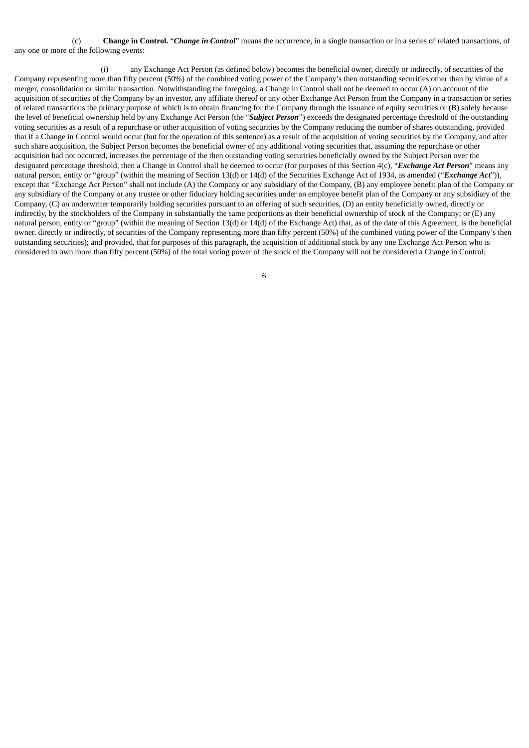(c) **Change in Control.** "*Change in Control*" means the occurrence, in a single transaction or in a series of related transactions, of any one or more of the following events:

(i) any Exchange Act Person (as defined below) becomes the beneficial owner, directly or indirectly, of securities of the Company representing more than fifty percent (50%) of the combined voting power of the Company's then outstanding securities other than by virtue of a merger, consolidation or similar transaction. Notwithstanding the foregoing, a Change in Control shall not be deemed to occur (A) on account of the acquisition of securities of the Company by an investor, any affiliate thereof or any other Exchange Act Person from the Company in a transaction or series of related transactions the primary purpose of which is to obtain financing for the Company through the issuance of equity securities or (B) solely because the level of beneficial ownership held by any Exchange Act Person (the "*Subject Person*") exceeds the designated percentage threshold of the outstanding voting securities as a result of a repurchase or other acquisition of voting securities by the Company reducing the number of shares outstanding, provided that if a Change in Control would occur (but for the operation of this sentence) as a result of the acquisition of voting securities by the Company, and after such share acquisition, the Subject Person becomes the beneficial owner of any additional voting securities that, assuming the repurchase or other acquisition had not occurred, increases the percentage of the then outstanding voting securities beneficially owned by the Subject Person over the designated percentage threshold, then a Change in Control shall be deemed to occur (for purposes of this Section 4(c), "*Exchange Act Person*" means any natural person, entity or "group" (within the meaning of Section 13(d) or 14(d) of the Securities Exchange Act of 1934, as amended ("*Exchange Act*")), except that "Exchange Act Person" shall not include (A) the Company or any subsidiary of the Company, (B) any employee benefit plan of the Company or any subsidiary of the Company or any trustee or other fiduciary holding securities under an employee benefit plan of the Company or any subsidiary of the Company, (C) an underwriter temporarily holding securities pursuant to an offering of such securities, (D) an entity beneficially owned, directly or indirectly, by the stockholders of the Company in substantially the same proportions as their beneficial ownership of stock of the Company; or (E) any natural person, entity or "group" (within the meaning of Section 13(d) or 14(d) of the Exchange Act) that, as of the date of this Agreement, is the beneficial owner, directly or indirectly, of securities of the Company representing more than fifty percent (50%) of the combined voting power of the Company's then outstanding securities); and provided, that for purposes of this paragraph, the acquisition of additional stock by any one Exchange Act Person who is considered to own more than fifty percent (50%) of the total voting power of the stock of the Company will not be considered a Change in Control;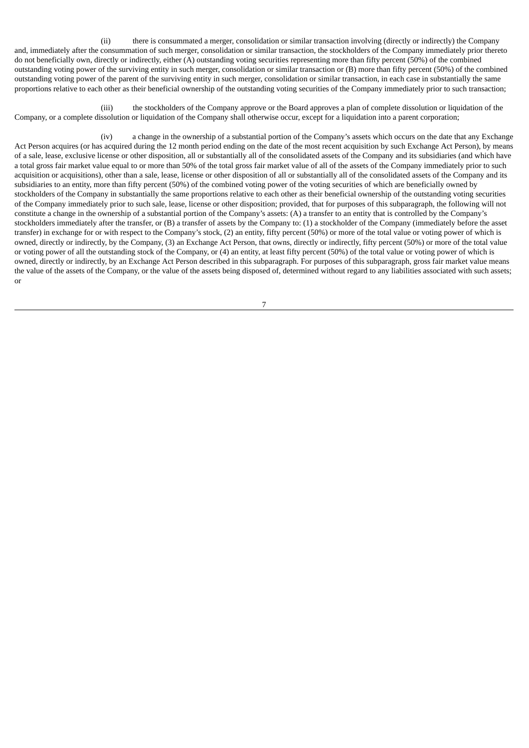(ii) there is consummated a merger, consolidation or similar transaction involving (directly or indirectly) the Company and, immediately after the consummation of such merger, consolidation or similar transaction, the stockholders of the Company immediately prior thereto do not beneficially own, directly or indirectly, either (A) outstanding voting securities representing more than fifty percent (50%) of the combined outstanding voting power of the surviving entity in such merger, consolidation or similar transaction or (B) more than fifty percent (50%) of the combined outstanding voting power of the parent of the surviving entity in such merger, consolidation or similar transaction, in each case in substantially the same proportions relative to each other as their beneficial ownership of the outstanding voting securities of the Company immediately prior to such transaction;

(iii) the stockholders of the Company approve or the Board approves a plan of complete dissolution or liquidation of the Company, or a complete dissolution or liquidation of the Company shall otherwise occur, except for a liquidation into a parent corporation;

(iv) a change in the ownership of a substantial portion of the Company's assets which occurs on the date that any Exchange Act Person acquires (or has acquired during the 12 month period ending on the date of the most recent acquisition by such Exchange Act Person), by means of a sale, lease, exclusive license or other disposition, all or substantially all of the consolidated assets of the Company and its subsidiaries (and which have a total gross fair market value equal to or more than 50% of the total gross fair market value of all of the assets of the Company immediately prior to such acquisition or acquisitions), other than a sale, lease, license or other disposition of all or substantially all of the consolidated assets of the Company and its subsidiaries to an entity, more than fifty percent (50%) of the combined voting power of the voting securities of which are beneficially owned by stockholders of the Company in substantially the same proportions relative to each other as their beneficial ownership of the outstanding voting securities of the Company immediately prior to such sale, lease, license or other disposition; provided, that for purposes of this subparagraph, the following will not constitute a change in the ownership of a substantial portion of the Company's assets: (A) a transfer to an entity that is controlled by the Company's stockholders immediately after the transfer, or (B) a transfer of assets by the Company to: (1) a stockholder of the Company (immediately before the asset transfer) in exchange for or with respect to the Company's stock, (2) an entity, fifty percent (50%) or more of the total value or voting power of which is owned, directly or indirectly, by the Company, (3) an Exchange Act Person, that owns, directly or indirectly, fifty percent (50%) or more of the total value or voting power of all the outstanding stock of the Company, or (4) an entity, at least fifty percent (50%) of the total value or voting power of which is owned, directly or indirectly, by an Exchange Act Person described in this subparagraph. For purposes of this subparagraph, gross fair market value means the value of the assets of the Company, or the value of the assets being disposed of, determined without regard to any liabilities associated with such assets; or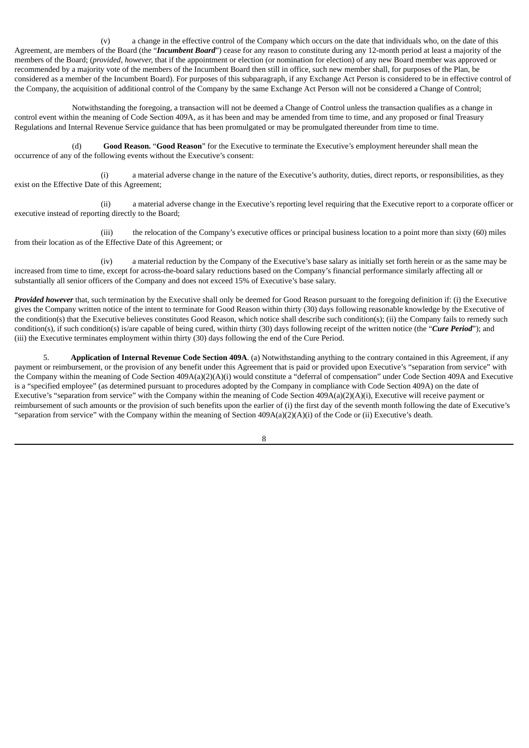(v) a change in the effective control of the Company which occurs on the date that individuals who, on the date of this Agreement, are members of the Board (the "*Incumbent Board*") cease for any reason to constitute during any 12-month period at least a majority of the members of the Board; (*provided, however,* that if the appointment or election (or nomination for election) of any new Board member was approved or recommended by a majority vote of the members of the Incumbent Board then still in office, such new member shall, for purposes of the Plan, be considered as a member of the Incumbent Board). For purposes of this subparagraph, if any Exchange Act Person is considered to be in effective control of the Company, the acquisition of additional control of the Company by the same Exchange Act Person will not be considered a Change of Control;

Notwithstanding the foregoing, a transaction will not be deemed a Change of Control unless the transaction qualifies as a change in control event within the meaning of Code Section 409A, as it has been and may be amended from time to time, and any proposed or final Treasury Regulations and Internal Revenue Service guidance that has been promulgated or may be promulgated thereunder from time to time.

(d) **Good Reason.** "**Good Reason**" for the Executive to terminate the Executive's employment hereunder shall mean the occurrence of any of the following events without the Executive's consent:

(i) a material adverse change in the nature of the Executive's authority, duties, direct reports, or responsibilities, as they exist on the Effective Date of this Agreement;

(ii) a material adverse change in the Executive's reporting level requiring that the Executive report to a corporate officer or executive instead of reporting directly to the Board;

(iii) the relocation of the Company's executive offices or principal business location to a point more than sixty (60) miles from their location as of the Effective Date of this Agreement; or

(iv) a material reduction by the Company of the Executive's base salary as initially set forth herein or as the same may be increased from time to time, except for across-the-board salary reductions based on the Company's financial performance similarly affecting all or substantially all senior officers of the Company and does not exceed 15% of Executive's base salary.

*Provided however* that, such termination by the Executive shall only be deemed for Good Reason pursuant to the foregoing definition if: (i) the Executive gives the Company written notice of the intent to terminate for Good Reason within thirty (30) days following reasonable knowledge by the Executive of the condition(s) that the Executive believes constitutes Good Reason, which notice shall describe such condition(s); (ii) the Company fails to remedy such condition(s), if such condition(s) is/are capable of being cured, within thirty (30) days following receipt of the written notice (the "*Cure Period*"); and (iii) the Executive terminates employment within thirty (30) days following the end of the Cure Period.

5. **Application of Internal Revenue Code Section 409A**. (a) Notwithstanding anything to the contrary contained in this Agreement, if any payment or reimbursement, or the provision of any benefit under this Agreement that is paid or provided upon Executive's "separation from service" with the Company within the meaning of Code Section 409A(a)(2)(A)(i) would constitute a "deferral of compensation" under Code Section 409A and Executive is a "specified employee" (as determined pursuant to procedures adopted by the Company in compliance with Code Section 409A) on the date of Executive's "separation from service" with the Company within the meaning of Code Section 409A(a)(2)(A)(i), Executive will receive payment or reimbursement of such amounts or the provision of such benefits upon the earlier of (i) the first day of the seventh month following the date of Executive's "separation from service" with the Company within the meaning of Section 409A(a)(2)(A)(i) of the Code or (ii) Executive's death.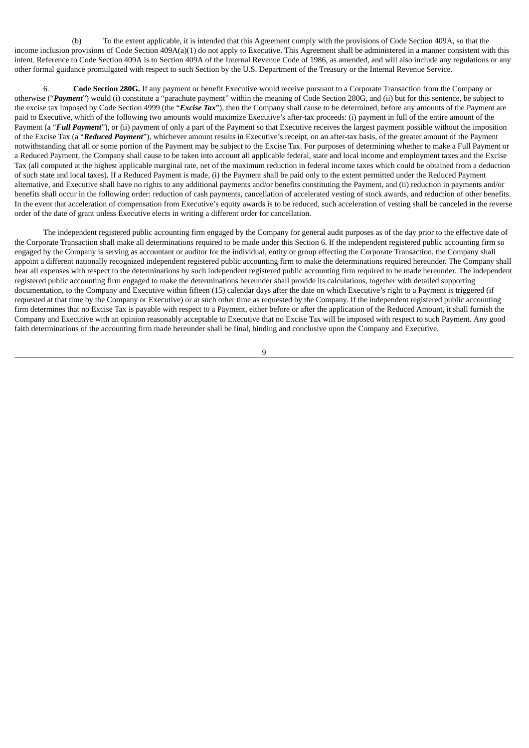(b) To the extent applicable, it is intended that this Agreement comply with the provisions of Code Section 409A, so that the income inclusion provisions of Code Section 409A(a)(1) do not apply to Executive. This Agreement shall be administered in a manner consistent with this intent. Reference to Code Section 409A is to Section 409A of the Internal Revenue Code of 1986, as amended, and will also include any regulations or any other formal guidance promulgated with respect to such Section by the U.S. Department of the Treasury or the Internal Revenue Service.

6. **Code Section 280G.** If any payment or benefit Executive would receive pursuant to a Corporate Transaction from the Company or otherwise ("*Payment*") would (i) constitute a "parachute payment" within the meaning of Code Section 280G, and (ii) but for this sentence, be subject to the excise tax imposed by Code Section 4999 (the "*Excise Tax*"), then the Company shall cause to be determined, before any amounts of the Payment are paid to Executive, which of the following two amounts would maximize Executive's after-tax proceeds: (i) payment in full of the entire amount of the Payment (a "*Full Payment*"), or (ii) payment of only a part of the Payment so that Executive receives the largest payment possible without the imposition of the Excise Tax (a "*Reduced Payment*"), whichever amount results in Executive's receipt, on an after-tax basis, of the greater amount of the Payment notwithstanding that all or some portion of the Payment may be subject to the Excise Tax. For purposes of determining whether to make a Full Payment or a Reduced Payment, the Company shall cause to be taken into account all applicable federal, state and local income and employment taxes and the Excise Tax (all computed at the highest applicable marginal rate, net of the maximum reduction in federal income taxes which could be obtained from a deduction of such state and local taxes). If a Reduced Payment is made, (i) the Payment shall be paid only to the extent permitted under the Reduced Payment alternative, and Executive shall have no rights to any additional payments and/or benefits constituting the Payment, and (ii) reduction in payments and/or benefits shall occur in the following order: reduction of cash payments, cancellation of accelerated vesting of stock awards, and reduction of other benefits. In the event that acceleration of compensation from Executive's equity awards is to be reduced, such acceleration of vesting shall be canceled in the reverse order of the date of grant unless Executive elects in writing a different order for cancellation.

The independent registered public accounting firm engaged by the Company for general audit purposes as of the day prior to the effective date of the Corporate Transaction shall make all determinations required to be made under this Section 6. If the independent registered public accounting firm so engaged by the Company is serving as accountant or auditor for the individual, entity or group effecting the Corporate Transaction, the Company shall appoint a different nationally recognized independent registered public accounting firm to make the determinations required hereunder. The Company shall bear all expenses with respect to the determinations by such independent registered public accounting firm required to be made hereunder. The independent registered public accounting firm engaged to make the determinations hereunder shall provide its calculations, together with detailed supporting documentation, to the Company and Executive within fifteen (15) calendar days after the date on which Executive's right to a Payment is triggered (if requested at that time by the Company or Executive) or at such other time as requested by the Company. If the independent registered public accounting firm determines that no Excise Tax is payable with respect to a Payment, either before or after the application of the Reduced Amount, it shall furnish the Company and Executive with an opinion reasonably acceptable to Executive that no Excise Tax will be imposed with respect to such Payment. Any good faith determinations of the accounting firm made hereunder shall be final, binding and conclusive upon the Company and Executive.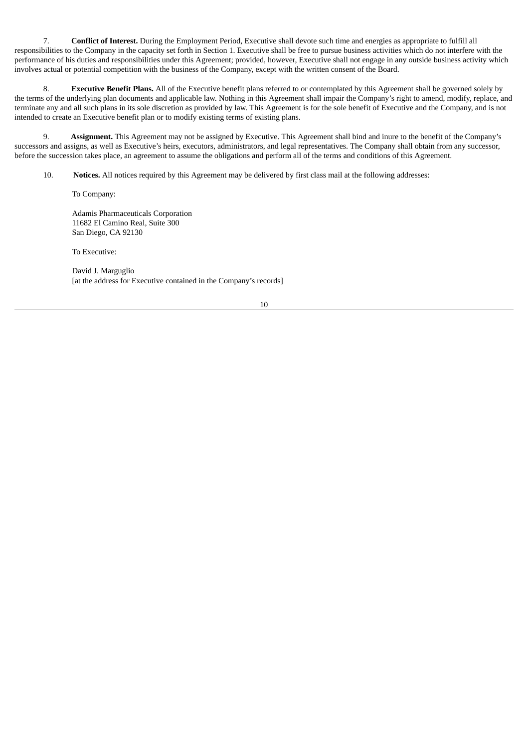7. **Conflict of Interest.** During the Employment Period, Executive shall devote such time and energies as appropriate to fulfill all responsibilities to the Company in the capacity set forth in Section 1. Executive shall be free to pursue business activities which do not interfere with the performance of his duties and responsibilities under this Agreement; provided, however, Executive shall not engage in any outside business activity which involves actual or potential competition with the business of the Company, except with the written consent of the Board.

8. **Executive Benefit Plans.** All of the Executive benefit plans referred to or contemplated by this Agreement shall be governed solely by the terms of the underlying plan documents and applicable law. Nothing in this Agreement shall impair the Company's right to amend, modify, replace, and terminate any and all such plans in its sole discretion as provided by law. This Agreement is for the sole benefit of Executive and the Company, and is not intended to create an Executive benefit plan or to modify existing terms of existing plans.

9. **Assignment.** This Agreement may not be assigned by Executive. This Agreement shall bind and inure to the benefit of the Company's successors and assigns, as well as Executive's heirs, executors, administrators, and legal representatives. The Company shall obtain from any successor, before the succession takes place, an agreement to assume the obligations and perform all of the terms and conditions of this Agreement.

10. **Notices.** All notices required by this Agreement may be delivered by first class mail at the following addresses:

To Company:

Adamis Pharmaceuticals Corporation 11682 El Camino Real, Suite 300 San Diego, CA 92130

To Executive:

David J. Marguglio [at the address for Executive contained in the Company's records]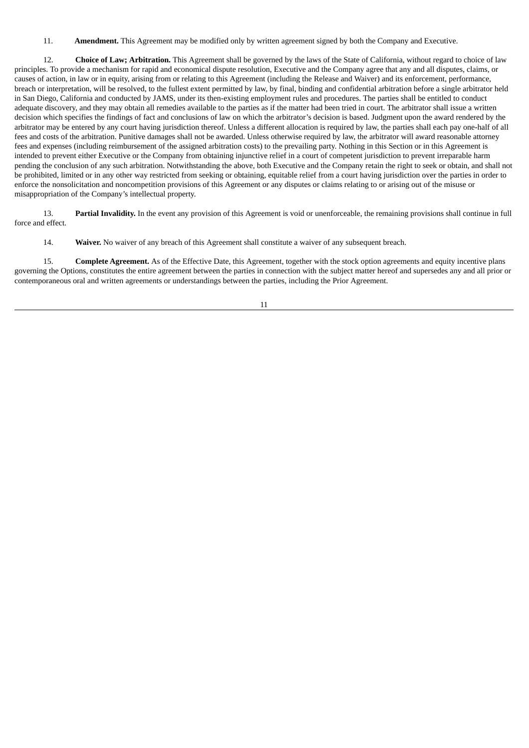11. **Amendment.** This Agreement may be modified only by written agreement signed by both the Company and Executive.

12. **Choice of Law; Arbitration.** This Agreement shall be governed by the laws of the State of California, without regard to choice of law principles. To provide a mechanism for rapid and economical dispute resolution, Executive and the Company agree that any and all disputes, claims, or causes of action, in law or in equity, arising from or relating to this Agreement (including the Release and Waiver) and its enforcement, performance, breach or interpretation, will be resolved, to the fullest extent permitted by law, by final, binding and confidential arbitration before a single arbitrator held in San Diego, California and conducted by JAMS, under its then-existing employment rules and procedures. The parties shall be entitled to conduct adequate discovery, and they may obtain all remedies available to the parties as if the matter had been tried in court. The arbitrator shall issue a written decision which specifies the findings of fact and conclusions of law on which the arbitrator's decision is based. Judgment upon the award rendered by the arbitrator may be entered by any court having jurisdiction thereof. Unless a different allocation is required by law, the parties shall each pay one-half of all fees and costs of the arbitration. Punitive damages shall not be awarded. Unless otherwise required by law, the arbitrator will award reasonable attorney fees and expenses (including reimbursement of the assigned arbitration costs) to the prevailing party. Nothing in this Section or in this Agreement is intended to prevent either Executive or the Company from obtaining injunctive relief in a court of competent jurisdiction to prevent irreparable harm pending the conclusion of any such arbitration. Notwithstanding the above, both Executive and the Company retain the right to seek or obtain, and shall not be prohibited, limited or in any other way restricted from seeking or obtaining, equitable relief from a court having jurisdiction over the parties in order to enforce the nonsolicitation and noncompetition provisions of this Agreement or any disputes or claims relating to or arising out of the misuse or misappropriation of the Company's intellectual property.

13. **Partial Invalidity.** In the event any provision of this Agreement is void or unenforceable, the remaining provisions shall continue in full force and effect.

14. **Waiver.** No waiver of any breach of this Agreement shall constitute a waiver of any subsequent breach.

15. **Complete Agreement.** As of the Effective Date, this Agreement, together with the stock option agreements and equity incentive plans governing the Options, constitutes the entire agreement between the parties in connection with the subject matter hereof and supersedes any and all prior or contemporaneous oral and written agreements or understandings between the parties, including the Prior Agreement.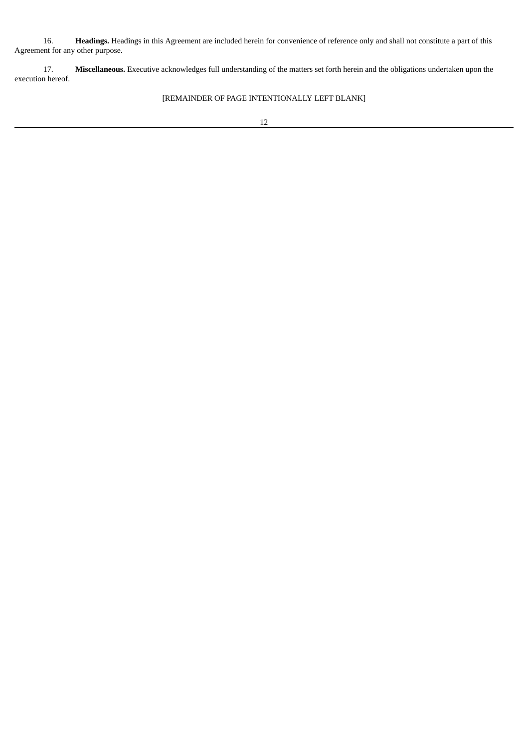16. **Headings.** Headings in this Agreement are included herein for convenience of reference only and shall not constitute a part of this Agreement for any other purpose.

17. **Miscellaneous.** Executive acknowledges full understanding of the matters set forth herein and the obligations undertaken upon the execution hereof.

# [REMAINDER OF PAGE INTENTIONALLY LEFT BLANK]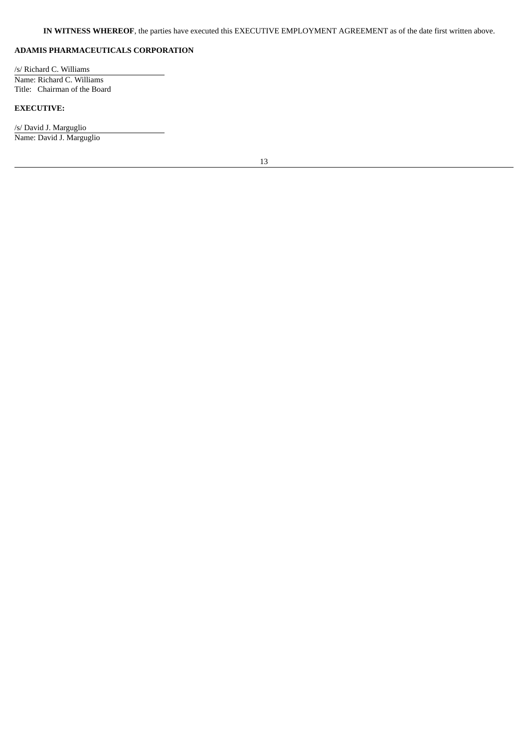### **ADAMIS PHARMACEUTICALS CORPORATION**

/s/ Richard C. Williams Name: Richard C. Williams Title: Chairman of the Board

# **EXECUTIVE:**

/s/ David J. Marguglio Name: David J. Marguglio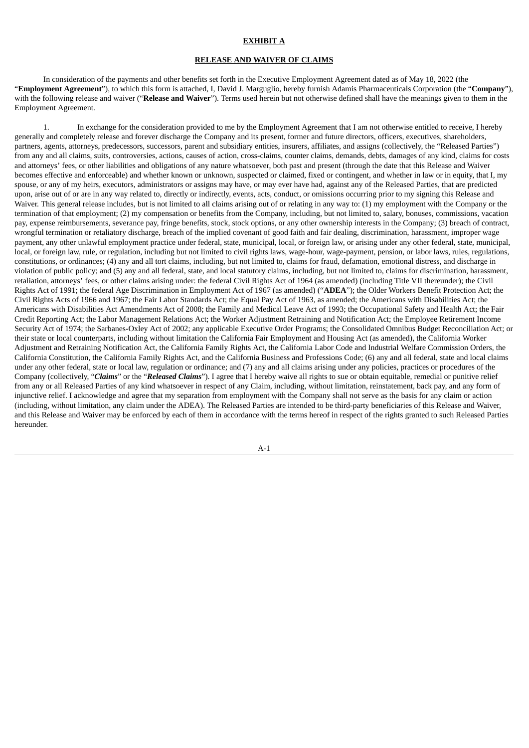#### **EXHIBIT A**

#### **RELEASE AND WAIVER OF CLAIMS**

In consideration of the payments and other benefits set forth in the Executive Employment Agreement dated as of May 18, 2022 (the "**Employment Agreement**"), to which this form is attached, I, David J. Marguglio, hereby furnish Adamis Pharmaceuticals Corporation (the "**Company**"), with the following release and waiver ("**Release and Waiver**"). Terms used herein but not otherwise defined shall have the meanings given to them in the Employment Agreement.

1. In exchange for the consideration provided to me by the Employment Agreement that I am not otherwise entitled to receive, I hereby generally and completely release and forever discharge the Company and its present, former and future directors, officers, executives, shareholders, partners, agents, attorneys, predecessors, successors, parent and subsidiary entities, insurers, affiliates, and assigns (collectively, the "Released Parties") from any and all claims, suits, controversies, actions, causes of action, cross-claims, counter claims, demands, debts, damages of any kind, claims for costs and attorneys' fees, or other liabilities and obligations of any nature whatsoever, both past and present (through the date that this Release and Waiver becomes effective and enforceable) and whether known or unknown, suspected or claimed, fixed or contingent, and whether in law or in equity, that I, my spouse, or any of my heirs, executors, administrators or assigns may have, or may ever have had, against any of the Released Parties, that are predicted upon, arise out of or are in any way related to, directly or indirectly, events, acts, conduct, or omissions occurring prior to my signing this Release and Waiver. This general release includes, but is not limited to all claims arising out of or relating in any way to: (1) my employment with the Company or the termination of that employment; (2) my compensation or benefits from the Company, including, but not limited to, salary, bonuses, commissions, vacation pay, expense reimbursements, severance pay, fringe benefits, stock, stock options, or any other ownership interests in the Company; (3) breach of contract, wrongful termination or retaliatory discharge, breach of the implied covenant of good faith and fair dealing, discrimination, harassment, improper wage payment, any other unlawful employment practice under federal, state, municipal, local, or foreign law, or arising under any other federal, state, municipal, local, or foreign law, rule, or regulation, including but not limited to civil rights laws, wage-hour, wage-payment, pension, or labor laws, rules, regulations, constitutions, or ordinances; (4) any and all tort claims, including, but not limited to, claims for fraud, defamation, emotional distress, and discharge in violation of public policy; and (5) any and all federal, state, and local statutory claims, including, but not limited to, claims for discrimination, harassment, retaliation, attorneys' fees, or other claims arising under: the federal Civil Rights Act of 1964 (as amended) (including Title VII thereunder); the Civil Rights Act of 1991; the federal Age Discrimination in Employment Act of 1967 (as amended) ("**ADEA**"); the Older Workers Benefit Protection Act; the Civil Rights Acts of 1966 and 1967; the Fair Labor Standards Act; the Equal Pay Act of 1963, as amended; the Americans with Disabilities Act; the Americans with Disabilities Act Amendments Act of 2008; the Family and Medical Leave Act of 1993; the Occupational Safety and Health Act; the Fair Credit Reporting Act; the Labor Management Relations Act; the Worker Adjustment Retraining and Notification Act; the Employee Retirement Income Security Act of 1974; the Sarbanes-Oxley Act of 2002; any applicable Executive Order Programs; the Consolidated Omnibus Budget Reconciliation Act; or their state or local counterparts, including without limitation the California Fair Employment and Housing Act (as amended), the California Worker Adjustment and Retraining Notification Act, the California Family Rights Act, the California Labor Code and Industrial Welfare Commission Orders, the California Constitution, the California Family Rights Act, and the California Business and Professions Code; (6) any and all federal, state and local claims under any other federal, state or local law, regulation or ordinance; and (7) any and all claims arising under any policies, practices or procedures of the Company (collectively, "*Claims*" or the "*Released Claims*"). I agree that I hereby waive all rights to sue or obtain equitable, remedial or punitive relief from any or all Released Parties of any kind whatsoever in respect of any Claim, including, without limitation, reinstatement, back pay, and any form of injunctive relief. I acknowledge and agree that my separation from employment with the Company shall not serve as the basis for any claim or action (including, without limitation, any claim under the ADEA). The Released Parties are intended to be third-party beneficiaries of this Release and Waiver, and this Release and Waiver may be enforced by each of them in accordance with the terms hereof in respect of the rights granted to such Released Parties hereunder.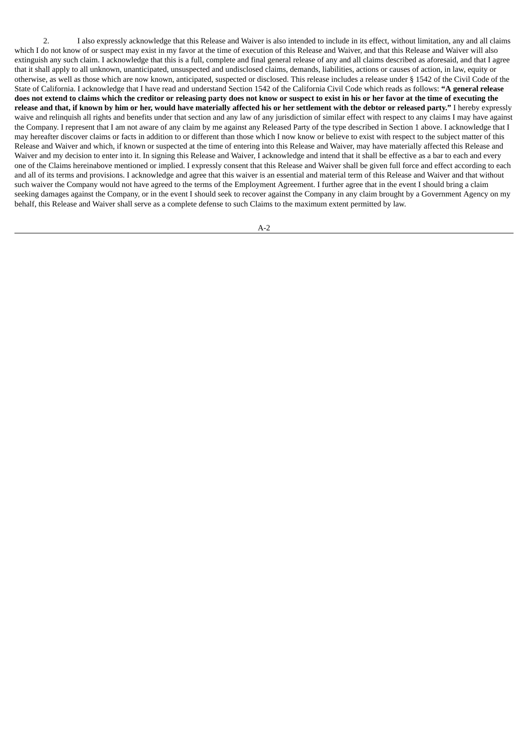2. I also expressly acknowledge that this Release and Waiver is also intended to include in its effect, without limitation, any and all claims which I do not know of or suspect may exist in my favor at the time of execution of this Release and Waiver, and that this Release and Waiver will also extinguish any such claim. I acknowledge that this is a full, complete and final general release of any and all claims described as aforesaid, and that I agree that it shall apply to all unknown, unanticipated, unsuspected and undisclosed claims, demands, liabilities, actions or causes of action, in law, equity or otherwise, as well as those which are now known, anticipated, suspected or disclosed. This release includes a release under § 1542 of the Civil Code of the State of California. I acknowledge that I have read and understand Section 1542 of the California Civil Code which reads as follows: **"A general release** does not extend to claims which the creditor or releasing party does not know or suspect to exist in his or her favor at the time of executing the release and that, if known by him or her, would have materially affected his or her settlement with the debtor or released party." I hereby expressly waive and relinquish all rights and benefits under that section and any law of any jurisdiction of similar effect with respect to any claims I may have against the Company. I represent that I am not aware of any claim by me against any Released Party of the type described in Section 1 above. I acknowledge that I may hereafter discover claims or facts in addition to or different than those which I now know or believe to exist with respect to the subject matter of this Release and Waiver and which, if known or suspected at the time of entering into this Release and Waiver, may have materially affected this Release and Waiver and my decision to enter into it. In signing this Release and Waiver, I acknowledge and intend that it shall be effective as a bar to each and every one of the Claims hereinabove mentioned or implied. I expressly consent that this Release and Waiver shall be given full force and effect according to each and all of its terms and provisions. I acknowledge and agree that this waiver is an essential and material term of this Release and Waiver and that without such waiver the Company would not have agreed to the terms of the Employment Agreement. I further agree that in the event I should bring a claim seeking damages against the Company, or in the event I should seek to recover against the Company in any claim brought by a Government Agency on my behalf, this Release and Waiver shall serve as a complete defense to such Claims to the maximum extent permitted by law.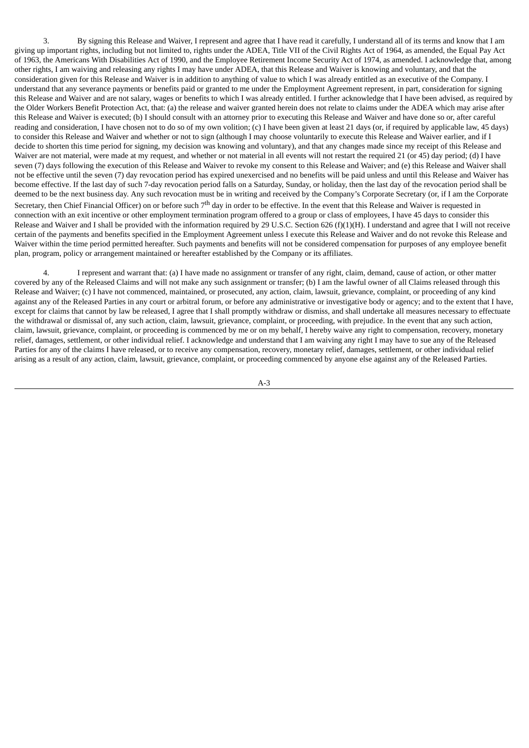3. By signing this Release and Waiver, I represent and agree that I have read it carefully, I understand all of its terms and know that I am giving up important rights, including but not limited to, rights under the ADEA, Title VII of the Civil Rights Act of 1964, as amended, the Equal Pay Act of 1963, the Americans With Disabilities Act of 1990, and the Employee Retirement Income Security Act of 1974, as amended. I acknowledge that, among other rights, I am waiving and releasing any rights I may have under ADEA, that this Release and Waiver is knowing and voluntary, and that the consideration given for this Release and Waiver is in addition to anything of value to which I was already entitled as an executive of the Company. I understand that any severance payments or benefits paid or granted to me under the Employment Agreement represent, in part, consideration for signing this Release and Waiver and are not salary, wages or benefits to which I was already entitled. I further acknowledge that I have been advised, as required by the Older Workers Benefit Protection Act, that: (a) the release and waiver granted herein does not relate to claims under the ADEA which may arise after this Release and Waiver is executed; (b) I should consult with an attorney prior to executing this Release and Waiver and have done so or, after careful reading and consideration, I have chosen not to do so of my own volition; (c) I have been given at least 21 days (or, if required by applicable law, 45 days) to consider this Release and Waiver and whether or not to sign (although I may choose voluntarily to execute this Release and Waiver earlier, and if I decide to shorten this time period for signing, my decision was knowing and voluntary), and that any changes made since my receipt of this Release and Waiver are not material, were made at my request, and whether or not material in all events will not restart the required 21 (or 45) day period; (d) I have seven (7) days following the execution of this Release and Waiver to revoke my consent to this Release and Waiver; and (e) this Release and Waiver shall not be effective until the seven (7) day revocation period has expired unexercised and no benefits will be paid unless and until this Release and Waiver has become effective. If the last day of such 7-day revocation period falls on a Saturday, Sunday, or holiday, then the last day of the revocation period shall be deemed to be the next business day. Any such revocation must be in writing and received by the Company's Corporate Secretary (or, if I am the Corporate Secretary, then Chief Financial Officer) on or before such 7<sup>th</sup> day in order to be effective. In the event that this Release and Waiver is requested in connection with an exit incentive or other employment termination program offered to a group or class of employees, I have 45 days to consider this Release and Waiver and I shall be provided with the information required by 29 U.S.C. Section 626 (f)(1)(H). I understand and agree that I will not receive certain of the payments and benefits specified in the Employment Agreement unless I execute this Release and Waiver and do not revoke this Release and Waiver within the time period permitted hereafter. Such payments and benefits will not be considered compensation for purposes of any employee benefit plan, program, policy or arrangement maintained or hereafter established by the Company or its affiliates.

4. I represent and warrant that: (a) I have made no assignment or transfer of any right, claim, demand, cause of action, or other matter covered by any of the Released Claims and will not make any such assignment or transfer; (b) I am the lawful owner of all Claims released through this Release and Waiver; (c) I have not commenced, maintained, or prosecuted, any action, claim, lawsuit, grievance, complaint, or proceeding of any kind against any of the Released Parties in any court or arbitral forum, or before any administrative or investigative body or agency; and to the extent that I have, except for claims that cannot by law be released, I agree that I shall promptly withdraw or dismiss, and shall undertake all measures necessary to effectuate the withdrawal or dismissal of, any such action, claim, lawsuit, grievance, complaint, or proceeding, with prejudice. In the event that any such action, claim, lawsuit, grievance, complaint, or proceeding is commenced by me or on my behalf, I hereby waive any right to compensation, recovery, monetary relief, damages, settlement, or other individual relief. I acknowledge and understand that I am waiving any right I may have to sue any of the Released Parties for any of the claims I have released, or to receive any compensation, recovery, monetary relief, damages, settlement, or other individual relief arising as a result of any action, claim, lawsuit, grievance, complaint, or proceeding commenced by anyone else against any of the Released Parties.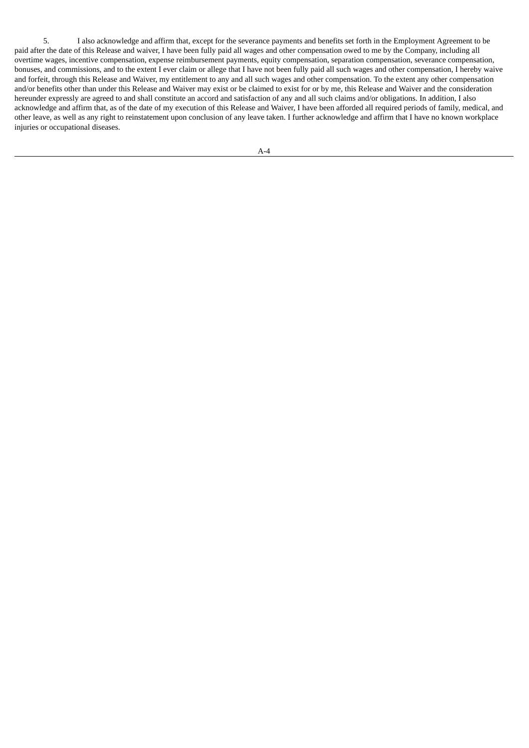5. I also acknowledge and affirm that, except for the severance payments and benefits set forth in the Employment Agreement to be paid after the date of this Release and waiver, I have been fully paid all wages and other compensation owed to me by the Company, including all overtime wages, incentive compensation, expense reimbursement payments, equity compensation, separation compensation, severance compensation, bonuses, and commissions, and to the extent I ever claim or allege that I have not been fully paid all such wages and other compensation, I hereby waive and forfeit, through this Release and Waiver, my entitlement to any and all such wages and other compensation. To the extent any other compensation and/or benefits other than under this Release and Waiver may exist or be claimed to exist for or by me, this Release and Waiver and the consideration hereunder expressly are agreed to and shall constitute an accord and satisfaction of any and all such claims and/or obligations. In addition, I also acknowledge and affirm that, as of the date of my execution of this Release and Waiver, I have been afforded all required periods of family, medical, and other leave, as well as any right to reinstatement upon conclusion of any leave taken. I further acknowledge and affirm that I have no known workplace injuries or occupational diseases.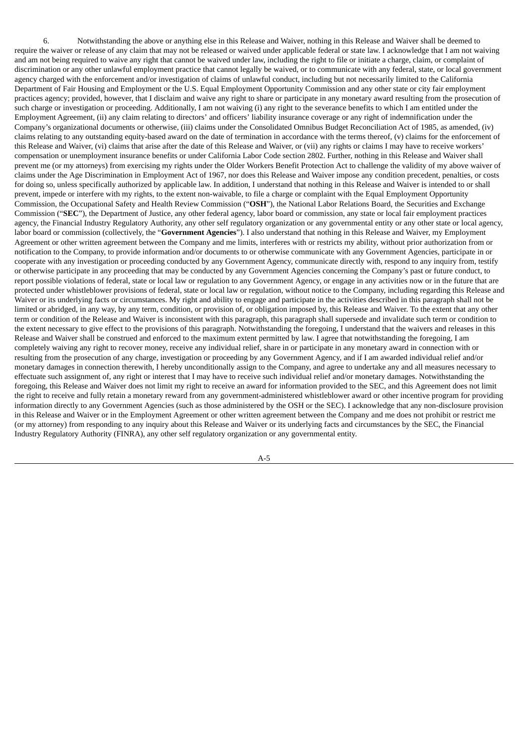6. Notwithstanding the above or anything else in this Release and Waiver, nothing in this Release and Waiver shall be deemed to require the waiver or release of any claim that may not be released or waived under applicable federal or state law. I acknowledge that I am not waiving and am not being required to waive any right that cannot be waived under law, including the right to file or initiate a charge, claim, or complaint of discrimination or any other unlawful employment practice that cannot legally be waived, or to communicate with any federal, state, or local government agency charged with the enforcement and/or investigation of claims of unlawful conduct, including but not necessarily limited to the California Department of Fair Housing and Employment or the U.S. Equal Employment Opportunity Commission and any other state or city fair employment practices agency; provided, however, that I disclaim and waive any right to share or participate in any monetary award resulting from the prosecution of such charge or investigation or proceeding. Additionally, I am not waiving (i) any right to the severance benefits to which I am entitled under the Employment Agreement, (ii) any claim relating to directors' and officers' liability insurance coverage or any right of indemnification under the Company's organizational documents or otherwise, (iii) claims under the Consolidated Omnibus Budget Reconciliation Act of 1985, as amended, (iv) claims relating to any outstanding equity-based award on the date of termination in accordance with the terms thereof, (v) claims for the enforcement of this Release and Waiver, (vi) claims that arise after the date of this Release and Waiver, or (vii) any rights or claims I may have to receive workers' compensation or unemployment insurance benefits or under California Labor Code section 2802. Further, nothing in this Release and Waiver shall prevent me (or my attorneys) from exercising my rights under the Older Workers Benefit Protection Act to challenge the validity of my above waiver of claims under the Age Discrimination in Employment Act of 1967, nor does this Release and Waiver impose any condition precedent, penalties, or costs for doing so, unless specifically authorized by applicable law. In addition, I understand that nothing in this Release and Waiver is intended to or shall prevent, impede or interfere with my rights, to the extent non-waivable, to file a charge or complaint with the Equal Employment Opportunity Commission, the Occupational Safety and Health Review Commission ("**OSH**"), the National Labor Relations Board, the Securities and Exchange Commission ("**SEC**"), the Department of Justice, any other federal agency, labor board or commission, any state or local fair employment practices agency, the Financial Industry Regulatory Authority, any other self regulatory organization or any governmental entity or any other state or local agency, labor board or commission (collectively, the "**Government Agencies**"). I also understand that nothing in this Release and Waiver, my Employment Agreement or other written agreement between the Company and me limits, interferes with or restricts my ability, without prior authorization from or notification to the Company, to provide information and/or documents to or otherwise communicate with any Government Agencies, participate in or cooperate with any investigation or proceeding conducted by any Government Agency, communicate directly with, respond to any inquiry from, testify or otherwise participate in any proceeding that may be conducted by any Government Agencies concerning the Company's past or future conduct, to report possible violations of federal, state or local law or regulation to any Government Agency, or engage in any activities now or in the future that are protected under whistleblower provisions of federal, state or local law or regulation, without notice to the Company, including regarding this Release and Waiver or its underlying facts or circumstances. My right and ability to engage and participate in the activities described in this paragraph shall not be limited or abridged, in any way, by any term, condition, or provision of, or obligation imposed by, this Release and Waiver. To the extent that any other term or condition of the Release and Waiver is inconsistent with this paragraph, this paragraph shall supersede and invalidate such term or condition to the extent necessary to give effect to the provisions of this paragraph. Notwithstanding the foregoing, I understand that the waivers and releases in this Release and Waiver shall be construed and enforced to the maximum extent permitted by law. I agree that notwithstanding the foregoing, I am completely waiving any right to recover money, receive any individual relief, share in or participate in any monetary award in connection with or resulting from the prosecution of any charge, investigation or proceeding by any Government Agency, and if I am awarded individual relief and/or monetary damages in connection therewith, I hereby unconditionally assign to the Company, and agree to undertake any and all measures necessary to effectuate such assignment of, any right or interest that I may have to receive such individual relief and/or monetary damages. Notwithstanding the foregoing, this Release and Waiver does not limit my right to receive an award for information provided to the SEC, and this Agreement does not limit the right to receive and fully retain a monetary reward from any government-administered whistleblower award or other incentive program for providing information directly to any Government Agencies (such as those administered by the OSH or the SEC). I acknowledge that any non-disclosure provision in this Release and Waiver or in the Employment Agreement or other written agreement between the Company and me does not prohibit or restrict me (or my attorney) from responding to any inquiry about this Release and Waiver or its underlying facts and circumstances by the SEC, the Financial Industry Regulatory Authority (FINRA), any other self regulatory organization or any governmental entity.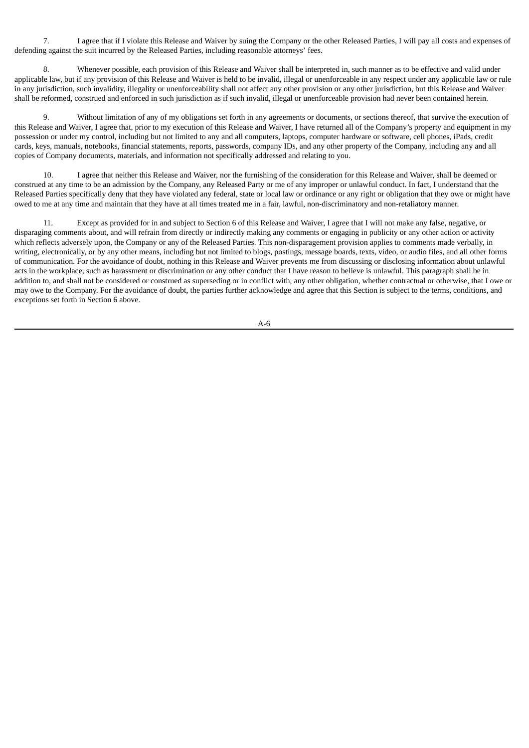7. I agree that if I violate this Release and Waiver by suing the Company or the other Released Parties, I will pay all costs and expenses of defending against the suit incurred by the Released Parties, including reasonable attorneys' fees.

8. Whenever possible, each provision of this Release and Waiver shall be interpreted in, such manner as to be effective and valid under applicable law, but if any provision of this Release and Waiver is held to be invalid, illegal or unenforceable in any respect under any applicable law or rule in any jurisdiction, such invalidity, illegality or unenforceability shall not affect any other provision or any other jurisdiction, but this Release and Waiver shall be reformed, construed and enforced in such jurisdiction as if such invalid, illegal or unenforceable provision had never been contained herein.

Without limitation of any of my obligations set forth in any agreements or documents, or sections thereof, that survive the execution of this Release and Waiver, I agree that, prior to my execution of this Release and Waiver, I have returned all of the Company's property and equipment in my possession or under my control, including but not limited to any and all computers, laptops, computer hardware or software, cell phones, iPads, credit cards, keys, manuals, notebooks, financial statements, reports, passwords, company IDs, and any other property of the Company, including any and all copies of Company documents, materials, and information not specifically addressed and relating to you.

10. I agree that neither this Release and Waiver, nor the furnishing of the consideration for this Release and Waiver, shall be deemed or construed at any time to be an admission by the Company, any Released Party or me of any improper or unlawful conduct. In fact, I understand that the Released Parties specifically deny that they have violated any federal, state or local law or ordinance or any right or obligation that they owe or might have owed to me at any time and maintain that they have at all times treated me in a fair, lawful, non-discriminatory and non-retaliatory manner.

11. Except as provided for in and subject to Section 6 of this Release and Waiver, I agree that I will not make any false, negative, or disparaging comments about, and will refrain from directly or indirectly making any comments or engaging in publicity or any other action or activity which reflects adversely upon, the Company or any of the Released Parties. This non-disparagement provision applies to comments made verbally, in writing, electronically, or by any other means, including but not limited to blogs, postings, message boards, texts, video, or audio files, and all other forms of communication. For the avoidance of doubt, nothing in this Release and Waiver prevents me from discussing or disclosing information about unlawful acts in the workplace, such as harassment or discrimination or any other conduct that I have reason to believe is unlawful. This paragraph shall be in addition to, and shall not be considered or construed as superseding or in conflict with, any other obligation, whether contractual or otherwise, that I owe or may owe to the Company. For the avoidance of doubt, the parties further acknowledge and agree that this Section is subject to the terms, conditions, and exceptions set forth in Section 6 above.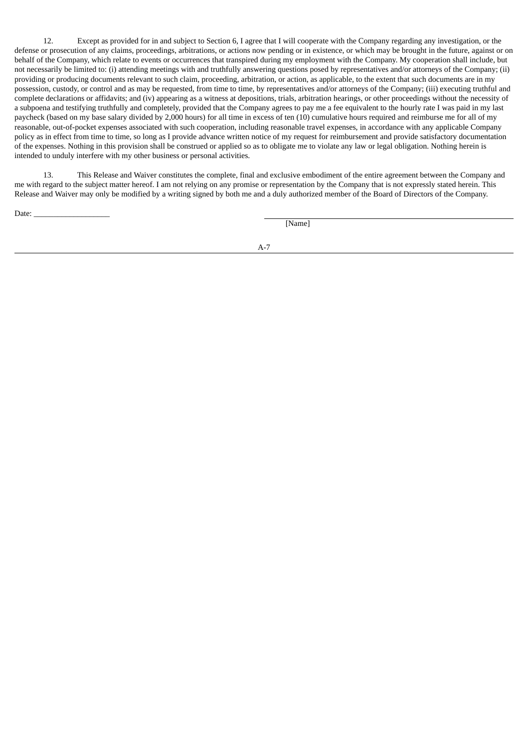12. Except as provided for in and subject to Section 6, I agree that I will cooperate with the Company regarding any investigation, or the defense or prosecution of any claims, proceedings, arbitrations, or actions now pending or in existence, or which may be brought in the future, against or on behalf of the Company, which relate to events or occurrences that transpired during my employment with the Company. My cooperation shall include, but not necessarily be limited to: (i) attending meetings with and truthfully answering questions posed by representatives and/or attorneys of the Company; (ii) providing or producing documents relevant to such claim, proceeding, arbitration, or action, as applicable, to the extent that such documents are in my possession, custody, or control and as may be requested, from time to time, by representatives and/or attorneys of the Company; (iii) executing truthful and complete declarations or affidavits; and (iv) appearing as a witness at depositions, trials, arbitration hearings, or other proceedings without the necessity of a subpoena and testifying truthfully and completely, provided that the Company agrees to pay me a fee equivalent to the hourly rate I was paid in my last paycheck (based on my base salary divided by 2,000 hours) for all time in excess of ten (10) cumulative hours required and reimburse me for all of my reasonable, out-of-pocket expenses associated with such cooperation, including reasonable travel expenses, in accordance with any applicable Company policy as in effect from time to time, so long as I provide advance written notice of my request for reimbursement and provide satisfactory documentation of the expenses. Nothing in this provision shall be construed or applied so as to obligate me to violate any law or legal obligation. Nothing herein is intended to unduly interfere with my other business or personal activities.

13. This Release and Waiver constitutes the complete, final and exclusive embodiment of the entire agreement between the Company and me with regard to the subject matter hereof. I am not relying on any promise or representation by the Company that is not expressly stated herein. This Release and Waiver may only be modified by a writing signed by both me and a duly authorized member of the Board of Directors of the Company.

Date:  $\_\_$ 

[Name]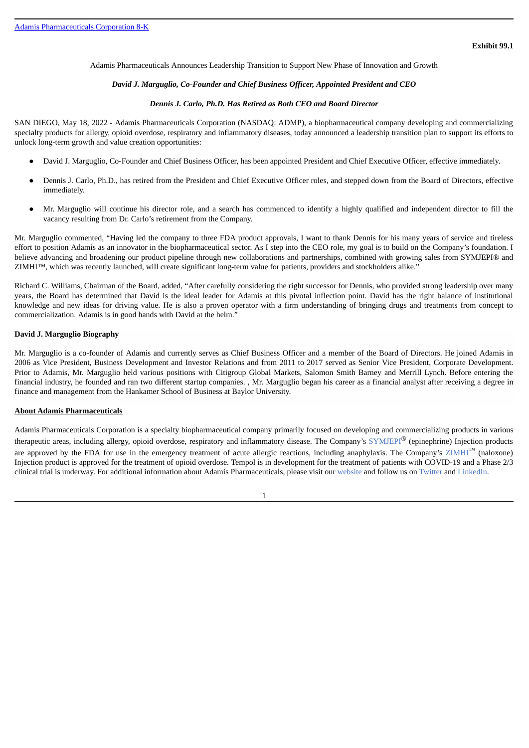<span id="page-46-0"></span>Adamis Pharmaceuticals Announces Leadership Transition to Support New Phase of Innovation and Growth

#### *David J. Marguglio, Co-Founder and Chief Business Officer, Appointed President and CEO*

#### *Dennis J. Carlo, Ph.D. Has Retired as Both CEO and Board Director*

SAN DIEGO, May 18, 2022 - Adamis Pharmaceuticals Corporation (NASDAQ: ADMP), a biopharmaceutical company developing and commercializing specialty products for allergy, opioid overdose, respiratory and inflammatory diseases, today announced a leadership transition plan to support its efforts to unlock long-term growth and value creation opportunities:

- David J. Marguglio, Co-Founder and Chief Business Officer, has been appointed President and Chief Executive Officer, effective immediately.
- Dennis J. Carlo, Ph.D., has retired from the President and Chief Executive Officer roles, and stepped down from the Board of Directors, effective immediately.
- Mr. Marguglio will continue his director role, and a search has commenced to identify a highly qualified and independent director to fill the vacancy resulting from Dr. Carlo's retirement from the Company.

Mr. Marguglio commented, "Having led the company to three FDA product approvals, I want to thank Dennis for his many years of service and tireless effort to position Adamis as an innovator in the biopharmaceutical sector. As I step into the CEO role, my goal is to build on the Company's foundation. I believe advancing and broadening our product pipeline through new collaborations and partnerships, combined with growing sales from SYMJEPI® and ZIMHI™, which was recently launched, will create significant long-term value for patients, providers and stockholders alike."

Richard C. Williams, Chairman of the Board, added, "After carefully considering the right successor for Dennis, who provided strong leadership over many years, the Board has determined that David is the ideal leader for Adamis at this pivotal inflection point. David has the right balance of institutional knowledge and new ideas for driving value. He is also a proven operator with a firm understanding of bringing drugs and treatments from concept to commercialization. Adamis is in good hands with David at the helm."

#### **David J. Marguglio Biography**

Mr. Marguglio is a co-founder of Adamis and currently serves as Chief Business Officer and a member of the Board of Directors. He joined Adamis in 2006 as Vice President, Business Development and Investor Relations and from 2011 to 2017 served as Senior Vice President, Corporate Development. Prior to Adamis, Mr. Marguglio held various positions with Citigroup Global Markets, Salomon Smith Barney and Merrill Lynch. Before entering the financial industry, he founded and ran two different startup companies. , Mr. Marguglio began his career as a financial analyst after receiving a degree in finance and management from the Hankamer School of Business at Baylor University.

#### **About Adamis Pharmaceuticals**

Adamis Pharmaceuticals Corporation is a specialty biopharmaceutical company primarily focused on developing and commercializing products in various therapeutic areas, including allergy, opioid overdose, respiratory and inflammatory disease. The Company's SYMJEPI® (epinephrine) Injection products are approved by the FDA for use in the emergency treatment of acute allergic reactions, including anaphylaxis. The Company's  $ZIMHI^M$  (naloxone) Injection product is approved for the treatment of opioid overdose. Tempol is in development for the treatment of patients with COVID-19 and a Phase 2/3 clinical trial is underway. For additional information about Adamis Pharmaceuticals, please visit our website and follow us on Twitter and LinkedIn.